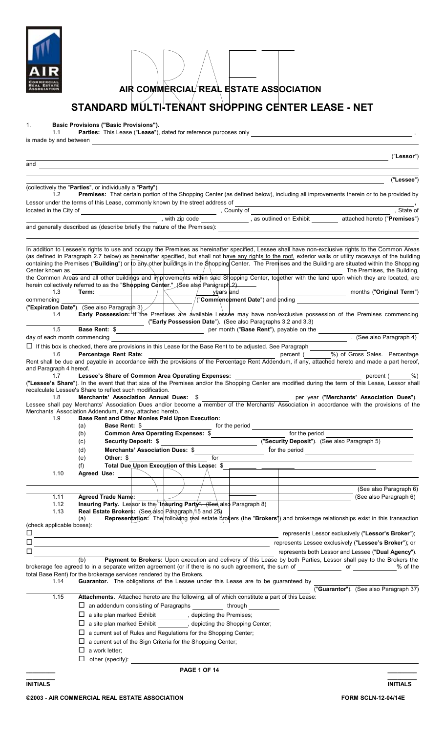

# **AIR COMMERCIAL REAL ESTATE ASSOCIATION STANDARD MULTI-TENANT SHOPPING CENTER LEASE - NET**

## 1. **Basic Provisions ("Basic Provisions").**

 1.1 **Parties:** This Lease ("**Lease**"), dated for reference purposes only , is made by and between

| and                                                                          |                                                                                               |                                                                    |                                        |                                                                                                                   |                |  |                                                                                                                       | ("Lessor")                                                                                                                                                                                                                                                                                                                                                                                                                                                                 |  |  |  |
|------------------------------------------------------------------------------|-----------------------------------------------------------------------------------------------|--------------------------------------------------------------------|----------------------------------------|-------------------------------------------------------------------------------------------------------------------|----------------|--|-----------------------------------------------------------------------------------------------------------------------|----------------------------------------------------------------------------------------------------------------------------------------------------------------------------------------------------------------------------------------------------------------------------------------------------------------------------------------------------------------------------------------------------------------------------------------------------------------------------|--|--|--|
|                                                                              |                                                                                               |                                                                    |                                        |                                                                                                                   |                |  |                                                                                                                       | ("Lessee")                                                                                                                                                                                                                                                                                                                                                                                                                                                                 |  |  |  |
| (collectively the "Parties", or individually a "Party").<br>1.2              |                                                                                               |                                                                    |                                        |                                                                                                                   |                |  |                                                                                                                       | Premises: That certain portion of the Shopping Center (as defined below), including all improvements therein or to be provided by                                                                                                                                                                                                                                                                                                                                          |  |  |  |
|                                                                              |                                                                                               |                                                                    |                                        | Lessor under the terms of this Lease, commonly known by the street address of                                     |                |  | <u> 1980 - Johann Barn, mars ann an t-Amhain Aonaich an t-Aonaich an t-Aonaich an t-Aonaich an t-Aonaich an t-Aon</u> |                                                                                                                                                                                                                                                                                                                                                                                                                                                                            |  |  |  |
|                                                                              |                                                                                               |                                                                    |                                        |                                                                                                                   |                |  |                                                                                                                       |                                                                                                                                                                                                                                                                                                                                                                                                                                                                            |  |  |  |
|                                                                              |                                                                                               |                                                                    |                                        |                                                                                                                   |                |  |                                                                                                                       | located in the City of<br>, State of , with zip code , County of , as outlined on Exhibit , attached hereto ("Premises")<br>and generally described as (describe briefly the nature of the Premises):                                                                                                                                                                                                                                                                      |  |  |  |
|                                                                              |                                                                                               |                                                                    |                                        |                                                                                                                   |                |  |                                                                                                                       |                                                                                                                                                                                                                                                                                                                                                                                                                                                                            |  |  |  |
|                                                                              |                                                                                               |                                                                    |                                        |                                                                                                                   |                |  |                                                                                                                       | In addition to Lessee's rights to use and occupy the Premises as hereinafter specified, Lessee shall have non-exclusive rights to the Common Areas<br>(as defined in Paragraph 2.7 below) as hereinafter specified, but shall not have any rights to the roof, exterior walls or utility raceways of the building<br>containing the Premises ("Building") or to any other buildings in the Shopping Center. The Premises and the Building are situated within the Shopping |  |  |  |
| Center known as                                                              |                                                                                               |                                                                    |                                        |                                                                                                                   |                |  |                                                                                                                       | The Premises, the Building,<br>the Common Areas and all other buildings and improvements within said Shopping Center, together with the land upon which they are located, are                                                                                                                                                                                                                                                                                              |  |  |  |
|                                                                              |                                                                                               |                                                                    |                                        | herein collectively referred to as the "Shopping Center." (See also Paragraph 2)                                  |                |  |                                                                                                                       |                                                                                                                                                                                                                                                                                                                                                                                                                                                                            |  |  |  |
| 1.3<br>commencing                                                            | Term:                                                                                         |                                                                    |                                        |                                                                                                                   |                |  |                                                                                                                       | years and<br>("Commencement Date") and ending<br>The months ("Original Term")                                                                                                                                                                                                                                                                                                                                                                                              |  |  |  |
| ("Expiration Date"). (See also Paragraph 3)                                  |                                                                                               |                                                                    |                                        |                                                                                                                   |                |  |                                                                                                                       |                                                                                                                                                                                                                                                                                                                                                                                                                                                                            |  |  |  |
| 1.4                                                                          |                                                                                               |                                                                    |                                        | ("Early Possession Date"). (See also Paragraphs 3.2 and 3.3)                                                      |                |  |                                                                                                                       | Early Possession: If the Premises are available Lessee may have non-exclusive possession of the Premises commencing                                                                                                                                                                                                                                                                                                                                                        |  |  |  |
| 1.5                                                                          | <b>Base Rent: \$</b>                                                                          |                                                                    |                                        | per month ("Base Rent"), payable on the                                                                           |                |  |                                                                                                                       |                                                                                                                                                                                                                                                                                                                                                                                                                                                                            |  |  |  |
| day of each month commencing                                                 |                                                                                               |                                                                    |                                        |                                                                                                                   |                |  |                                                                                                                       | Communication (See also Paragraph 4)                                                                                                                                                                                                                                                                                                                                                                                                                                       |  |  |  |
| 1.6                                                                          |                                                                                               | Percentage Rent Rate:                                              |                                        | $\Box$ If this box is checked, there are provisions in this Lease for the Base Rent to be adjusted. See Paragraph |                |  |                                                                                                                       | percent (%) of Gross Sales. Percentage                                                                                                                                                                                                                                                                                                                                                                                                                                     |  |  |  |
|                                                                              |                                                                                               |                                                                    |                                        |                                                                                                                   |                |  |                                                                                                                       | Rent shall be due and payable in accordance with the provisions of the Percentage Rent Addendum, if any, attached hereto and made a part hereof,                                                                                                                                                                                                                                                                                                                           |  |  |  |
| and Paragraph 4 hereof.                                                      |                                                                                               |                                                                    |                                        |                                                                                                                   |                |  |                                                                                                                       |                                                                                                                                                                                                                                                                                                                                                                                                                                                                            |  |  |  |
| 1.7                                                                          |                                                                                               |                                                                    |                                        | Lessee's Share of Common Area Operating Expenses:                                                                 |                |  |                                                                                                                       | %)<br>percent (                                                                                                                                                                                                                                                                                                                                                                                                                                                            |  |  |  |
| recalculate Lessee's Share to reflect such modification.                     |                                                                                               |                                                                    |                                        |                                                                                                                   |                |  |                                                                                                                       | ("Lessee's Share"). In the event that that size of the Premises and/or the Shopping Center are modified during the term of this Lease, Lessor shall                                                                                                                                                                                                                                                                                                                        |  |  |  |
|                                                                              |                                                                                               |                                                                    |                                        |                                                                                                                   |                |  |                                                                                                                       | 1.8 <b>Merchants' Association Annual Dues:</b> \$ <b>per year ("Merchants' Association Dues")</b> .<br>Lessee shall pay Merchants' Association Dues and/or become a member of the Merchants' Association in accordance with the provisions of                                                                                                                                                                                                                              |  |  |  |
|                                                                              |                                                                                               |                                                                    |                                        |                                                                                                                   |                |  |                                                                                                                       |                                                                                                                                                                                                                                                                                                                                                                                                                                                                            |  |  |  |
| Merchants' Association Addendum, if any, attached hereto.<br>1.9             |                                                                                               |                                                                    |                                        | <b>Base Rent and Other Monies Paid Upon Execution:</b>                                                            |                |  |                                                                                                                       |                                                                                                                                                                                                                                                                                                                                                                                                                                                                            |  |  |  |
|                                                                              | (a)                                                                                           | <b>Base Rent: \$</b>                                               |                                        |                                                                                                                   | for the period |  |                                                                                                                       |                                                                                                                                                                                                                                                                                                                                                                                                                                                                            |  |  |  |
|                                                                              | (b)                                                                                           | for the period                                                     |                                        |                                                                                                                   |                |  |                                                                                                                       |                                                                                                                                                                                                                                                                                                                                                                                                                                                                            |  |  |  |
|                                                                              | (c)                                                                                           |                                                                    |                                        | Security Deposit: \$ ________________________                                                                     |                |  | ("Security Deposit"). (See also Paragraph 5)<br>for the period                                                        |                                                                                                                                                                                                                                                                                                                                                                                                                                                                            |  |  |  |
|                                                                              | (d)                                                                                           |                                                                    | <b>Merchants' Association Dues: \$</b> |                                                                                                                   |                |  |                                                                                                                       |                                                                                                                                                                                                                                                                                                                                                                                                                                                                            |  |  |  |
|                                                                              | (e)                                                                                           |                                                                    | Other: \$                              | for                                                                                                               |                |  |                                                                                                                       |                                                                                                                                                                                                                                                                                                                                                                                                                                                                            |  |  |  |
| 1.10                                                                         | (f)<br>Agreed Use:                                                                            |                                                                    |                                        | Total Due Upon Execution of this Lease: \$                                                                        |                |  |                                                                                                                       |                                                                                                                                                                                                                                                                                                                                                                                                                                                                            |  |  |  |
|                                                                              |                                                                                               |                                                                    |                                        |                                                                                                                   |                |  |                                                                                                                       |                                                                                                                                                                                                                                                                                                                                                                                                                                                                            |  |  |  |
|                                                                              |                                                                                               |                                                                    |                                        |                                                                                                                   |                |  |                                                                                                                       | (See also Paragraph 6)                                                                                                                                                                                                                                                                                                                                                                                                                                                     |  |  |  |
| 1.11                                                                         |                                                                                               | <b>Agreed Trade Name:</b>                                          |                                        |                                                                                                                   |                |  |                                                                                                                       | (See also Paragraph 6)                                                                                                                                                                                                                                                                                                                                                                                                                                                     |  |  |  |
| 1.12                                                                         |                                                                                               |                                                                    |                                        | Insuring Party. Lessor is the "Insuring Party". (See also Paragraph 8)                                            |                |  |                                                                                                                       |                                                                                                                                                                                                                                                                                                                                                                                                                                                                            |  |  |  |
| 1.13<br>(check applicable boxes):                                            | (a)                                                                                           |                                                                    |                                        | Real Estate Brokers: (See also Paragraph /15 and 25)                                                              |                |  |                                                                                                                       | Representation: The following real estate brokers (the "Brokers") and brokerage relationships exist in this transaction                                                                                                                                                                                                                                                                                                                                                    |  |  |  |
| □                                                                            |                                                                                               |                                                                    |                                        |                                                                                                                   |                |  |                                                                                                                       | represents Lessor exclusively ("Lessor's Broker");                                                                                                                                                                                                                                                                                                                                                                                                                         |  |  |  |
| $\Box$                                                                       |                                                                                               |                                                                    |                                        |                                                                                                                   |                |  |                                                                                                                       | represents Lessee exclusively ("Lessee's Broker"); or                                                                                                                                                                                                                                                                                                                                                                                                                      |  |  |  |
| ⊔                                                                            |                                                                                               |                                                                    |                                        |                                                                                                                   |                |  |                                                                                                                       | represents both Lessor and Lessee ("Dual Agency").                                                                                                                                                                                                                                                                                                                                                                                                                         |  |  |  |
|                                                                              | (b)                                                                                           |                                                                    |                                        |                                                                                                                   |                |  |                                                                                                                       | Payment to Brokers: Upon execution and delivery of this Lease by both Parties, Lessor shall pay to the Brokers the                                                                                                                                                                                                                                                                                                                                                         |  |  |  |
|                                                                              |                                                                                               |                                                                    |                                        |                                                                                                                   |                |  |                                                                                                                       | brokerage fee agreed to in a separate written agreement (or if there is no such agreement, the sum of or or<br>% of the                                                                                                                                                                                                                                                                                                                                                    |  |  |  |
| total Base Rent) for the brokerage services rendered by the Brokers.<br>1.14 |                                                                                               |                                                                    |                                        | Guarantor. The obligations of the Lessee under this Lease are to be guaranteed by                                 |                |  |                                                                                                                       |                                                                                                                                                                                                                                                                                                                                                                                                                                                                            |  |  |  |
|                                                                              |                                                                                               |                                                                    |                                        |                                                                                                                   |                |  |                                                                                                                       | ("Guarantor"). (See also Paragraph 37)                                                                                                                                                                                                                                                                                                                                                                                                                                     |  |  |  |
| 1.15                                                                         | Attachments. Attached hereto are the following, all of which constitute a part of this Lease: |                                                                    |                                        |                                                                                                                   |                |  |                                                                                                                       |                                                                                                                                                                                                                                                                                                                                                                                                                                                                            |  |  |  |
|                                                                              | □ an addendum consisting of Paragraphs _________ through ________                             |                                                                    |                                        |                                                                                                                   |                |  |                                                                                                                       |                                                                                                                                                                                                                                                                                                                                                                                                                                                                            |  |  |  |
|                                                                              | $\Box$ a site plan marked Exhibit , depicting the Premises;                                   |                                                                    |                                        |                                                                                                                   |                |  |                                                                                                                       |                                                                                                                                                                                                                                                                                                                                                                                                                                                                            |  |  |  |
|                                                                              |                                                                                               | $\Box$ a site plan marked Exhibit , depicting the Shopping Center; |                                        |                                                                                                                   |                |  |                                                                                                                       |                                                                                                                                                                                                                                                                                                                                                                                                                                                                            |  |  |  |
|                                                                              | $\Box$ a current set of Rules and Regulations for the Shopping Center;                        |                                                                    |                                        |                                                                                                                   |                |  |                                                                                                                       |                                                                                                                                                                                                                                                                                                                                                                                                                                                                            |  |  |  |
|                                                                              | $\Box$ a current set of the Sign Criteria for the Shopping Center;                            |                                                                    |                                        |                                                                                                                   |                |  |                                                                                                                       |                                                                                                                                                                                                                                                                                                                                                                                                                                                                            |  |  |  |
|                                                                              |                                                                                               | $\Box$ a work letter;                                              |                                        |                                                                                                                   |                |  |                                                                                                                       |                                                                                                                                                                                                                                                                                                                                                                                                                                                                            |  |  |  |
|                                                                              |                                                                                               | $\Box$ other (specify):                                            |                                        |                                                                                                                   |                |  |                                                                                                                       |                                                                                                                                                                                                                                                                                                                                                                                                                                                                            |  |  |  |
|                                                                              |                                                                                               |                                                                    |                                        | <b>PAGE 1 OF 14</b>                                                                                               |                |  |                                                                                                                       |                                                                                                                                                                                                                                                                                                                                                                                                                                                                            |  |  |  |
|                                                                              |                                                                                               |                                                                    |                                        |                                                                                                                   |                |  |                                                                                                                       |                                                                                                                                                                                                                                                                                                                                                                                                                                                                            |  |  |  |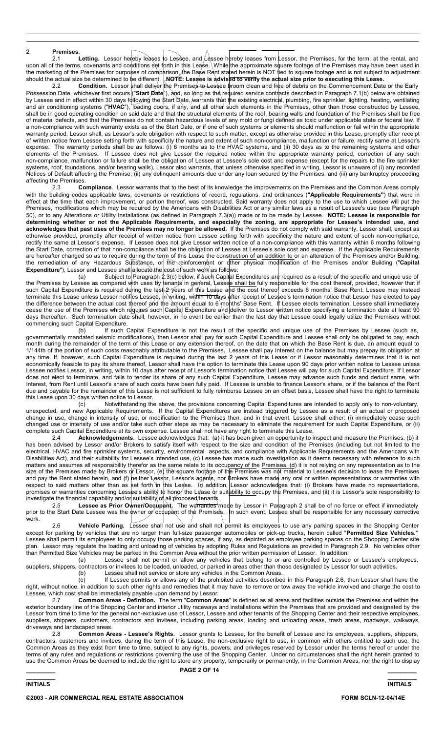### 2. **Premises.**

J.

2.1 **Letting.** Lessor hereby leases to Lessee, and Lessee hereby leases from Lessor, the Premises, for the term, at the rental, and upon all of the terms, covenants and conditions set forth in this Lease. \While|the approximate square footage of the Premises may have been used in the marketing of the Premises for purposes of comparison, the Base Rent stated herein is NOT tied to square footage and is not subject to adjustment should the actual size be determined to be different. **NOTE: Lessee is advised to verify the actual size prior to executing this Lease.**

2.2 **Condition.** Lessor shall deliver the Premise<del>s to Lessee</del> broom clean and free of debris on the Commencement Date or the Early Possession Date, whichever first occurs ("Start Date"), and, so long as the required service contracts described in Paragraph 7.1(b) below are obtained by Lessee and in effect within 30 days following the Start Date, warrants that the existing electrical, plumbing, fire sprinkler, lighting, heating, ventilating and air conditioning systems ("**HVAC**"), loading doors, if any, and all other such elements in the Premises, other than those constructed by Lessee, shall be in good operating condition on said date and that the structural elements of the roof, bearing walls and foundation of the Premises shall be free of material defects, and that the Premises do not contain hazardous levels of any mold or fungi defined as toxic under applicable state or federal law. If a non-compliance with such warranty exists as of the Start Date, or if one of such systems or elements should malfunction or fail within the appropriate warranty period, Lessor shall, as Lessor's sole obligation with respect to such matter, except as otherwise provided in this Lease, promptly after receipt of written notice from Lessee setting forth with specificity the nature and extent of such non-compliance, malfunction or failure, rectify same at Lessor's expense. The warranty periods shall be as follows: (i) 6 months as to the HVAC systems, and (ii) 30 days as to the remaining systems and other elements of the Premises. If Lessee does not give Lessor the required notice within the appropriate warranty period, correction of any such non-compliance, malfunction or failure shall be the obligation of Lessee at Lessee's sole cost and expense (except for the repairs to the fire sprinkler systems, roof, foundations, and/or bearing walls). Lessor also warrants, that unless otherwise specified in writing, Lessor is unaware of (i) any recorded Notices of Default affecting the Premise; (ii) any delinquent amounts due under any loan secured by the Premises; and (iii) any bankruptcy proceeding affecting the Premises.<br>2.3  $C<sub>o</sub>$ 

 2.3 **Compliance**. Lessor warrants that to the best of its knowledge the improvements on the Premises and the Common Areas comply with the building codes applicable laws, covenants or restrictions of record, regulations, and ordinances (**"Applicable Requirements"**) that were in effect at the time that each improvement, or portion thereof, was constructed. Said warranty does not apply to the use to which Lessee will put the Premises, modifications which may be required by the Americans with Disabilities Act or any similar laws as a result of Lessee's use (see Paragraph 50), or to any Alterations or Utility Installations (as defined in Paragraph 7.3(a)) made or to be made by Lessee. **NOTE: Lessee is responsible for determining whether or not the Applicable Requirements, and especially the zoning, are appropriate for Lessee's intended use, and acknowledges that past uses of the Premises may no longer be allowed.** If the Premises do not comply with said warranty, Lessor shall, except as otherwise provided, promptly after receipt of written notice from Lessee setting forth with specificity the nature and extent of such non-compliance, rectify the same at Lessor's expense. If Lessee does not give Lessor written notice of a non-compliance with this warranty within 6 months following the Start Date, correction of that non-compliance shall be the obligation of Lessee at Lessee's sole cost and expense. If the Applicable Requirements are hereafter changed so as to require during the term of this Lease the construction of an addition to or an alteration of the Premises and/or Building, the remediation of any Hazardous Substance, or the reinforcement or other physical modification of the Premises and/or Building ("**Capital Expenditure**"), Lessor and Lessee shall allocate the cost of such work as follows:

 (a) Subject to Paragraph 2.3(c) below, if such Capital Expenditures are required as a result of the specific and unique use of the Premises by Lessee as compared with uses by tenants in general, Lessee shall be fully responsible for the cost thereof, provided, however that if such Capital Expenditure is required during the last 2 years of this Lease and the cost thereof exceeds 6 months' Base Rent, Lessee may instead terminate this Lease unless Lessor notifies Lessee, in writing, within 10 days after receipt of Lessee's termination notice that Lessor has elected to pay the difference between the actual cost thereof and the amount equal to 6 months' Base Rent. If Lessee elects termination, Lessee shall immediately cease the use of the Premises which requires such Capital Expenditure and deliver to Lessor written notice specifying a termination date at least 90 days thereafter. Such termination date shall, however, in no event be earlier than the last day that Lessee could legally utilize the Premises without commencing such Capital Expenditure.

(b) If such Capital Expenditure is not the result of the specific and unique use of the Premises by Lessee (such as, governmentally mandated seismic modifications), then Lessor shall pay for such Capital Expenditure and Lessee shall only be obligated to pay, each month during the remainder of the term of this Lease or any extension thereof, on the date that on which the Base Rent is due, an amount equal to 1/144th of the portion of such costs reasonably attributable to the Premises. Lessee shall pay Interest on the balance but may prepay its obligation at any time. If, however, such Capital Expenditure is required during the last 2 years of this Lease or if Lessor reasonably determines that it is not economically feasible to pay its share thereof, Lessor shall have the option to terminate this Lease upon 90 days prior written notice to Lessee unless Lessee notifies Lessor, in writing, within 10 days after receipt of Lessor's termination notice that Lessee will pay for such Capital Expenditure. If Lessor does not elect to terminate, and fails to tender its share of any such Capital Expenditure, Lessee may advance such funds and deduct same, with Interest, from Rent until Lessor's share of such costs have been fully paid. If Lessee is unable to finance Lessor's share, or if the balance of the Rent due and payable for the remainder of this Lease is not sufficient to fully reimburse Lessee on an offset basis, Lessee shall have the right to terminate this Lease upon 30 days written notice to Lessor.

 (c) Notwithstanding the above, the provisions concerning Capital Expenditures are intended to apply only to non-voluntary, unexpected, and new Applicable Requirements. If the Capital Expenditures are instead triggered by Lessee as a result of an actual or proposed change in use, change in intensity of use, or modification to the Premises then, and in that event, Lessee shall either: (i) immediately cease such changed use or intensity of use and/or take such other steps as may be necessary to eliminate the requirement for such Capital Expenditure, or (ii) complete such Capital Expenditure at its own expense. Lessee shall not have any right to terminate this Lease.

 2.4 **Acknowledgements.** Lessee acknowledges that: (a) it has been given an opportunity to inspect and measure the Premises, (b) it has been advised by Lessor and/or Brokers to satisfy itself with respect to the size and condition of the Premises (including but not limited to the electrical, HVAC and fire sprinkler systems, security, environmental aspects, and compliance with Applicable Requirements and the Americans with Disabilities Act), and their suitability for Lessee's intended use, (c) Lessee has made such investigation as it deems necessary with reference to such matters and assumes all responsibility therefor as the same relate to its occupancy of the Premises, (d) it is not relying on any representation as to the size of the Premises made by Brokers or Lessor, (e) the square footåge of the Premises was not material to Lessee's decision to lease the Premises and pay the Rent stated herein, and (f) neither Lessor, Lessor's agents, nor Brokers have made any oral or written representations or warranties with respect to said matters other than as set forth in this Lease. In addition, Lessor acknowledges that: (i) Brokers have made no representations, promises or warranties concerning Lessee's ability to honor the Lease or suitability to occupy the Premises, and (ii) it is Lessor's sole responsibility to investigate the financial capability and/or suitability of all proposed/tenants.

 2.5 **Lessee as Prior Owner/Occupant.** The warranties made by Lessor in Paragraph 2 shall be of no force or effect if immediately prior to the Start Date Lessee was the owner or occupant of the Premises. In such event, Lessee shall be responsible for any necessary corrective work.

2.6 **Vehicle Parking.** Lessee shall not use and shall not permit its employees to use any parking spaces in the Shopping Center except for parking by vehicles that are no larger than full-size passenger automobiles or pick-up trucks, herein called "**Permitted Size Vehicles.**" Lessee shall permit its employees to only occupy those parking spaces, if any, as depicted as employee parking spaces on the Shopping Center site Lessor may regulate the loading and unloading of vehicles by adopting Rules and Regulations as provided in Paragraph 2.9. No vehicles other than Permitted Size Vehicles may be parked in the Common Area without the prior written permission of Lessor. In addition:

 (a) Lessee shall not permit or allow any vehicles that belong to or are controlled by Lessee or Lessee's employees, suppliers, shippers, contractors or invitees to be loaded, unloaded, or parked in areas other than those designated by Lessor for such activities. (b) Lessee shall not service or store any vehicles in the Common Areas.

(c) If Lessee permits or allows any of the prohibited activities described in this Paragraph 2.6, then Lessor shall have the

right, without notice, in addition to such other rights and remedies that it may have, to remove or tow away the vehicle involved and charge the cost to Lessee, which cost shall be immediately payable upon demand by Lessor. 2.7 **Common Areas - Definition.** The term "**Common Areas**" is defined as all areas and facilities outside the Premises and within the

exterior boundary line of the Shopping Center and interior utility raceways and installations within the Premises that are provided and designated by the Lessor from time to time for the general non-exclusive use of Lessor, Lessee and other tenants of the Shopping Center and their respective employees, suppliers, shippers, customers, contractors and invitees, including parking areas, loading and unloading areas, trash areas, roadways, walkways, driveways and landscaped areas.

 2.8 **Common Areas - Lessee's Rights.** Lessor grants to Lessee, for the benefit of Lessee and its employees, suppliers, shippers, contractors, customers and invitees, during the term of this Lease, the non-exclusive right to use, in common with others entitled to such use, the Common Areas as they exist from time to time, subject to any rights, powers, and privileges reserved by Lessor under the terms hereof or under the terms of any rules and regulations or restrictions governing the use of the Shopping Center. Under no circumstances shall the right herein granted to use the Common Areas be deemed to include the right to store any property, temporarily or permanently, in the Common Areas, nor the right to display **\_\_\_\_\_\_\_\_\_ PAGE 2 OF 14 \_\_\_\_\_\_\_\_\_**

L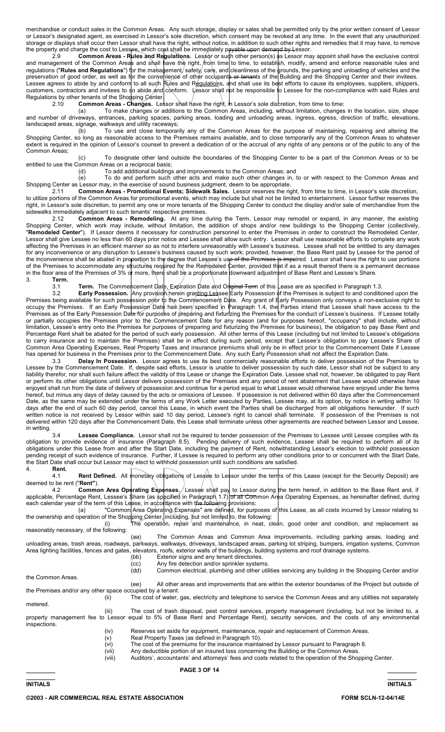merchandise or conduct sales in the Common Areas. Any such storage, display or sales shall be permitted only by the prior written consent of Lessor or Lessor's designated agent, as exercised in Lessor's sole discretion, which consent may be revoked at any time. In the event that any unauthorized storage or displays shall occur then Lessor shall have the right, without notice, in addition to such other rights and remedies that it may have, to remove the property and charge the cost to Lessee, which cost shall be immediately payable upon demand by Lessor.

2.9 **Common Areas - Rules and Regulations.** Lessor or such other person(s) as Lessor may appoint shall have the exclusive control and management of the Common Areas and shall have the right, from time to time, to establish, modify, amend and enforce reasonable rules and regulations ("**Rules and Regulations**") for the management, safety, care, and cleanliness of the grounds, the parking and unloading of vehicles and the preservation of good order, as well as for the convehience of other occupants or tenants of the Building and the Shopping Center and their invitees. Lessee agrees to abide by and conform to all such Rules and Regulations, and shall use its best efforts to cause its employees, suppliers, shippers, customers, contractors and invitees to so abide and cònform. Lessor shall not be responsible to Lessee for the non-compliance with said Rules and Regulations by other tenants of the Shopping Center.<br>2.10 **Common Areas - Changes.** Le

Common Areas - Changes. Lessor shall have the right, in Lessor's sole discretion, from time to time:

 (a) To make changes or additions to the Common Areas, including, without limitation, changes in the location, size, shape and number of driveways, entrances, parking spaces, parking areas, loading and unloading areas, ingress, egress, direction of traffic, elevations, landscaped areas, signage, walkways and utility raceways;

 (b) To use and close temporarily any of the Common Areas for the purpose of maintaining, repairing and altering the Shopping Center, so long as reasonable access to the Premises remains available, and to close temporarily any of the Common Areas to whatever extent is required in the opinion of Lessor's counsel to prevent a dedication of or the accrual of any rights of any persons or of the public to any of the Common Areas;

 (c) To designate other land outside the boundaries of the Shopping Center to be a part of the Common Areas or to be entitled to use the Common Areas on a reciprocal basis;

(d) To add additional buildings and improvements to the Common Areas; and

 (e) To do and perform such other acts and make such other changes in, to or with respect to the Common Areas and Shopping Center as Lessor may, in the exercise of sound business judgment, deem to be appropriate.

 2.11 **Common Areas - Promotional Events; Sidewalk Sales.** Lessor reserves the right, from time to time, in Lessor's sole discretion, to utilize portions of the Common Areas for promotional events, which may include but shall not be limited to entertainment. Lessor further reserves the right, in Lessor's sole discretion, to permit any one or more tenants of the Shopping Center to conduct the display and/or sale of merchandise from the sidewalks immediately adjacent to such tenants' respective premises.

 2.12 **Common Areas - Remodeling.** At any time during the Term, Lessor may remodel or expand, in any manner, the existing Shopping Center, which work may include, without limitation, the addition of shops and/or new buildings to the Shopping Center (collectively, "**Remodeled Center**"). If Lessor deems it necessary for construction personnel to enter the Premises in order to construct the Remodeled Center, Lessor shall give Lessee no less than 60 days prior notice and Lessee shall allow such entry. Lessor shall use reasonable efforts to complete any work affecting the Premises in an efficient manner so as not to interfere unreasonably with Lessee's business. Lessee shall not be entitled to any damages for any inconvenience or any disruption to Lessee's business caused by such work; provided, however, the Base Rent paid by Lessee for the period of the inconvenience shall be abated in proportion to the degree that Lessee's use of the Premises is impaired. Lessor shall have the right to use portions of the Premises to accommodate any structures required for the Remodeled Center, provided that if as a result thereof there is a permanent decrease in the floor area of the Premises of 3% or more, there shall be a proportionate downward adjustment of Base Rent and Lessee's Share. 3. **Term.**

3.1 **Term.** The Commencement Date, Expiration Date and Orliginal Term of this Lease are as specified in Paragraph 1.3.

3.2 **Early Possession.** Any provision herein granting Lessee Early Possession of the Premises is subject to and conditioned upon the Premises being available for such possession prior to the Commencement Date. Any grant of Early Possession only conveys a non-exclusive right to occupy the Premises. If an Early Possession Date has been specified in Paragraph 1.4, the Parties intend that Lessee shall have access to the Premises as of the Early Possession Da<del>te f</del>or purposes of preparing and fixturizing the Premises for the conduct of Lessee's business. If Lessee totally or partially occupies the Premises prior to the Commencement Date for any reason (and for purposes hereof, "occupancy" shall include, without limitation, Lessee's entry onto the Premises for purposes of preparing and fixturizing the Premises for business), the obligation to pay Base Rent and Percentage Rent shall be abated for the period of such early possession. All other terms of this Lease (including but not limited to Lessee's obligations to carry insurance and to maintain the Premises) shall be in effect during such period, except that Lessee's obligation to pay Lessee's Share of Common Area Operating Expenses, Real Property Taxes and insurance premiums shall only be in effect prior to the Commencement Date if Lessee has opened for business in the Premises prior to the Commencement Date. Any such Early Possession shall not affect the Expiration Date.

 3.3 **Delay In Possession.** Lessor agrees to use its best commercially reasonable efforts to deliver possession of the Premises to Lessee by the Commencement Date. If, despite said efforts, Lessor is unable to deliver possession by such date, Lessor shall not be subject to any liability therefor, nor shall such failure affect the validity of this Lease or change the Expiration Date. Lessee shall not, however, be obligated to pay Rent or perform its other obligations until Lessor delivers possession of the Premises and any period of rent abatement that Lessee would otherwise have enjoyed shall run from the date of delivery of possession and continue for a period equal to what Lessee would otherwise have enjoyed under the terms hereof, but minus any days of delay caused by the acts or omissions of Lessee. If possession is not delivered within 60 days after the Commencement Date, as the same may be extended under the terms of any Work Letter executed by Parties, Lessee may, at its option, by notice in writing within 10 days after the end of such 60 day period, cancel this Lease, in which event the Parties shall be discharged from all obligations hereunder. If such written notice is not received by Lessor within said 10 day period, Lessee's right to cancel shall terminate. If possession of the Premises is not delivered within 120 days after the Commencement Date, this Lease shall terminate unless other agreements are reached between Lessor and Lessee, in writing.

 3.4 **Lessee Compliance.** Lessor shall not be required to tender possession of the Premises to Lessee until Lessee complies with its obligation to provide evidence of insurance (Paragraph 8.5). Pending delivery of such evidence, Lessee shall be required to perform all of its obligations under this Lease from and after the Start Date, including the payment of Rent, notwithstanding Lessor's election to withhold possession pending receipt of such evidence of insurance. Further, if Lessee is required to perform any other conditions prior to or concurrent with the Start Date, the Start Date shall occur but Lessor may elect to withhold possession until such conditions are satisfied. 4. **Rent.**

4.1 **Rent Defined.** All monetary obligations of Lessee to Lessor under the terms of this Lease (except for the Security Deposit) are deemed to be rent ("**Rent"**).

4.2 **Common Area Operating Expenses.** Lessee shall pay to Lessor during the term hereof, in addition to the Base Rent and, if applicable, Percentage Rent, Lessee's \$hare (as specified in Paragraph 1.7) of all Common Area Operating Expenses, as hereinafter defined, during each calendar year of the term of this Lease, in accordance with the following provisions:

(a) "Common Area Operating Expenses" are defined, for purposes of this Lease, as all costs incurred by Lessor relating to the ownership and operation of the Shopping Cénter, including, but not limited to, the following:

(i) The operation, repair and maintenance, in neat, clean, good order and condition, and replacement as reasonably necessary, of the following:

 (aa) The Common Areas and Common Area improvements, including parking areas, loading and unloading areas, trash areas, roadways, parkways, walkways, driveways, landscaped areas, parking lot striping, bumpers, irrigation systems, Common Area lighting facilities, fences and gates, elevators, roofs, exterior walls of the buildings, building systems and roof drainage systems.

- (bb) Exterior signs and any tenant directories.
- (cc) Any fire detection and/or sprinkler systems.

|                  | Common electrical, plumbing and other utilities servicing any building in the Shopping Center and/or |
|------------------|------------------------------------------------------------------------------------------------------|
| tha Camman Arage |                                                                                                      |

 (ee) All other areas and improvements that are within the exterior boundaries of the Project but outside of the Premises and/or any other space occupied by a tenant. (ii) The cost of water, gas, electricity and telephone to service the Common Areas and any utilities not separately metered. (iii) The cost of trash disposal, pest control services, property management (including, but not be limited to, a property management fee to Lessor equal to 5% of Base Rent and Percentage Rent), security services, and the costs of any environmental inspections. (iv) Reserves set aside for equipment, maintenance, repair and replacement of Common Areas.<br>(v) Real Property Taxes (as defined in Paragraph 10).<br>(vi) The cost of the premiums for the insurance maintained by Lessor pursuan Real Property Taxes (as defined in Paragraph 10). (vi) The cost of the premiums for the insurance maintained by Lessor pursuant to Paragraph 8.<br>(vii) Any deductible portion of an insured loss concerning the Building or the Common Areas. (vii) Any deductible portion of an insured loss concerning the Building or the Common Areas.<br>(viii) Auditors', accountants' and attorneys' fees and costs related to the operation of the Sho

Auditors', accountants' and attorneys' fees and costs related to the operation of the Shopping Center.

**\_\_\_\_\_\_\_\_\_ PAGE 3 OF 14 \_\_\_\_\_\_\_\_\_**

the Common Areas.

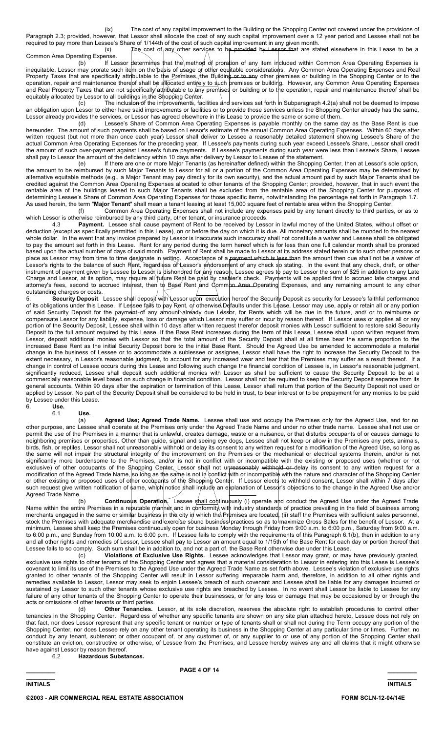(ix) The cost of any capital improvement to the Building or the Shopping Center not covered under the provisions of Paragraph 2.3; provided, however, that Lessor shall allocate the cost of any such capital improvement over a 12 year period and Lessee shall not be required to pay more than Lessee's Share of 1/144th of the cost of such capital improvement in any given month.

(x) The cost of any other services to be provided by Lessor that are stated elsewhere in this Lease to be a Common Area Operating Expense.

(b) If Lessor determines that the method of proration of any item included within Common Area Operating Expenses is inequitable, Lessor may prorate such item on the basis of usage or other equitable considerations. Any Common Area Operating Expenses and Real Property Taxes that are specifically attributable to the Premises, the Building or to any other premises or building in the Shopping Center or to the operation, repair and maintenance thereof shall be allocated enti<u>rely to such</u> premises or building. However, any Common Area Operating Expenses and Real Property Taxes that are not specifically attributable to any premises or building or to the operation, repair and maintenance thereof shall be equitably allocated by Lessor to all buildings in the Shopping Center.

 (c) The inclusion of the improvements, facilities and services set forth in Subparagraph 4.2(a) shall not be deemed to impose an obligation upon Lessor to either have said improvements or facilities or to provide those services unless the Shopping Center already has the same, Lessor already provides the services, or Lessor has agreed elsewhere in this Lease to provide the same or some of them.

 (d) Lessee's Share of Common Area Operating Expenses is payable monthly on the same day as the Base Rent is due hereunder. The amount of such payments shall be based on Lessor's estimate of the annual Common Area Operating Expenses. Within 60 days after written request (but not more than once each year) Lessor shall deliver to Lessee a reasonably detailed statement showing Lessee's Share of the actual Common Area Operating Expenses for the preceding year. If Lessee's payments during such year exceed Lessee's Share, Lessor shall credit the amount of such over-payment against Lessee's future payments. If Lessee's payments during such year were less than Lessee's Share, Lessee shall pay to Lessor the amount of the deficiency within 10 days after delivery by Lessor to Lessee of the statement.

 (e) If there are one or more Major Tenants (as hereinafter defined) within the Shopping Center, then at Lessor's sole option, the amount to be reimbursed by such Major Tenants to Lessor for all or a portion of the Common Area Operating Expenses may be determined by alternative equitable methods (e.g., a Major Tenant may pay directly for its own security), and the actual amount paid by such Major Tenants shall be credited against the Common Area Operating Expenses allocated to other tenants of the Shopping Center; provided, however, that in such event the rentable area of the buildings leased to such Major Tenants shall be excluded from the rentable area of the Shopping Center for purposes of determining Lessee's Share of Common Area Operating Expenses for those specific items, notwithstanding the percentage set forth in Paragraph 1.7. As used herein, the term "**Major Tenant**" shall mean a tenant leasing at least 15,000 square feet of rentable area within the Shopping Center.

 (f) Common Area Operating Expenses shall not include any expenses paid by any tenant directly to third parties, or as to which Lessor is otherwise reimbursed by any third party, other tenant, or insurance proceeds.

 4.3 **Payment.** Lessee shall cause payment of Rent to be received by Lessor in lawful money of the United States, without offset or deduction (except as specifically permitted in this Lease), on or before the day on which it is due. All monetary amounts shall be rounded to the nearest whole dollar. In the event that any invoice prepared by Lessor is inaccurate such inaccuracy shall not constitute a waiver and Lessee shall be obligated to pay the amount set forth in this Lease. Rent for any period during the term hereof which is for less than one full calendar month shall be prorated based upon the actual number of days of said month. Payment of Rent shall be made to Lessor at its address stated herein or to such other persons or place as Lessor may from time to time designate in writing. Acceptance of a payment which is less than the amount then due shall not be a waiver of Lessor's rights to the balance of such Rent, regardless or Lessor's endorsement of any check so stating. In the event that any check, draft, or other instrument of payment given by Lessee to Lessor is dishonored for any reason, Lessee agrees to pay to Lessor the sum of \$25 in addition to any Late Charge and Lessor, at its option, may require all future Rent be paid by cashier's check. Payments will be applied first to accrued late charges and attorney's fees, second to accrued interest, then to Base Rent and Common Area Operating Expenses, and any remaining amount to any other outstanding charges or costs.

5. **Security Deposit**. Lessee shall deposit with Lessor upon execution hereof the Security Deposit as security for Lessee's faithful performance of its obligations under this Lease. If Lessee fails to pay Rent, or otherwise Defaults under this Lease, Lessor may use, apply or retain all or any portion of said Security Deposit for the payment-of any amount\already due Lessor, for Rents which will be due in the future, and/ or to reimburse or compensate Lessor for any liability, expense, loss or damage which Lessor may suffer or incur by reason thereof. If Lessor uses or applies all or any portion of the Security Deposit, Lessee shall within 10 days after written request therefor deposit monies with Lessor sufficient to restore said Security Deposit to the full amount required by this Lease. If the Base Rent increases during the term of this Lease, Lessee shall, upon written request from Lessor, deposit additional monies with Lessor so that the total amount of the Security Deposit shall at all times bear the same proportion to the increased Base Rent as the initial Security Deposit bore to the initial Base Rent. Should the Agreed Use be amended to accommodate a material change in the business of Lessee or to accommodate a sublessee or assignee, Lessor shall have the right to increase the Security Deposit to the extent necessary, in Lessor's reasonable judgment, to account for any increased wear and tear that the Premises may suffer as a result thereof. If a change in control of Lessee occurs during this Lease and following such change the financial condition of Lessee is, in Lessor's reasonable judgment, significantly reduced, Lessee shall deposit such additional monies with Lessor as shall be sufficient to cause the Security Deposit to be at a commercially reasonable level based on such change in financial condition. Lessor shall not be required to keep the Security Deposit separate from its general accounts. Within 90 days after the expiration or termination of this Lease, Lessor shall return that portion of the Security Deposit not used or applied by Lessor. No part of the Security Deposit shall be considered to be held in trust, to bear interest or to be prepayment for any monies to be paid by Lessee under this Lease. 6. **Use.**

# 6.1 **Use.**

 (a) **Agreed Use; Agreed Trade Name.** Lessee shall use and occupy the Premises only for the Agreed Use, and for no other purpose, and Lessee shall operate at the Premises only under the Agreed Trade Name and under no other trade name. Lessee shall not use or permit the use of the Premises in a manner that is unlawful, creates damage, waste or a nuisance, or that disturbs occupants of or causes damage to neighboring premises or properties. Other than guide, signal and seeing eye dogs, Lessee shall not keep or allow in the Premises any pets, animals, birds, fish, or reptiles. Lessor shall not unreasonably withhold or delay its consent to any written request for a modification of the Agreed Use, so long as the same will not impair the structural integrity of the improvement on the Premises or the mechanical or electrical systems therein, and/or is not significantly more burdensome to the Premises, and/or is not in conflict with or incompatible with the existing or proposed uses (whether or not exclusive) of other occupants of the Shopping Center. Lessor shall not unreasonably withhold or delay its consent to any written request for a modification of the Agreed Trade Name, so long as the same is not in conflict with or incompatible with the nature and character of the Shopping Center or other existing or proposed uses of other occupants of the Shopping Center. If Lessor elects to withhold consent, Lessor shall within 7 days after such request give written notification of same, which notice shall include an explanation of Lessor's objections to the change in the Agreed Use and/or Agreed Trade Name.

(b) **Continuous Operation.** Lessee shall continuously (i) operate and conduct the Agreed Use under the Agreed Trade Name within the entire Premises in a reputable mannex and in conformity with industry standards of practice prevailing in the field of business among merchants engaged in the same or similar business in the city in which the Premises are located, (ii) staff the Premises with sufficient sales personnel, stock the Premises with adequate merchandise and exercise sound business practices so as to maximize Gross Sales for the benefit of Lessor. At a minimum, Lessee shall keep the Premises continuously open for business Monday through Friday from 9:00 a.m. to 6:00 p.m., Saturday from 9:00 a.m. to 6:00 p.m., and Sunday from 10:00 a.m. to 6:00 p.m. If Lessee fails to comply with the requirements of this Paragraph 6.1(b), then in addition to any and all other rights and remedies of Lessor, Lessee shall pay to Lessor an amount equal to 1/15th of the Base Rent for each day or portion thereof that Lessee fails to so comply. Such sum shall be in addition to, and not a part of, the Base Rent otherwise due under this Lease.

 (c) **Violations of Exclusive Use Rights.** Lessee acknowledges that Lessor may grant, or may have previously granted, exclusive use rights to other tenants of the Shopping Center and agrees that a material consideration to Lessor in entering into this Lease is Lessee's covenant to limit its use of the Premises to the Agreed Use under the Agreed Trade Name as set forth above. Lessee's violation of exclusive use rights granted to other tenants of the Shopping Center will result in Lessor suffering irreparable harm and, therefore, in addition to all other rights and remedies available to Lessor, Lessor may seek to enjoin Lessee's breach of such covenant and Lessee shall be liable for any damages incurred or sustained by Lessor to such other tenants whose exclusive use rights are breached by Lessee. In no event shall Lessor be liable to Lessee for any failure of any other tenants of the Shopping Center to operate their businesses, or for any loss or damage that may be occasioned by or through the acts or omissions of other tenants or third parties.

 (d) **Other Tenancies.** Lessor, at its sole discretion, reserves the absolute right to establish procedures to control other tenancies in the Shopping Center. Regardless of whether any specific tenants are shown on any site plan attached hereto, Lessee does not rely on that fact, nor does Lessor represent that any specific tenant or number or type of tenants shall or shall not during the Term occupy any portion of the Shopping Center, nor does Lessee rely on any other tenant operating its business in the Shopping Center at any particular time or times. Further, no conduct by any tenant, subtenant or other occupant of, or any customer of, or any supplier to or use of any portion of the Shopping Center shall constitute an eviction, constructive or otherwise, of Lessee from the Premises, and Lessee hereby waives any and all claims that it might otherwise have against Lessor by reason thereof<br>6.2 **Hazardous Subst** 

6.2 **Hazardous Substances.**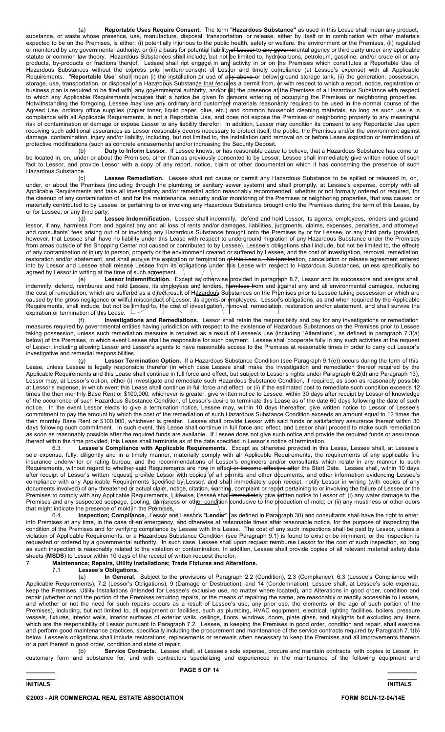(a) **Reportable Uses Require Consent.** The term "**Hazardous Substance"** as used in this Lease shall mean any product, substance, or waste whose presence, use, manufacture, disposal, transportation, or release, either by itself or in combination with other materials expected to be on the Premises, is either: (i) potentially injurious to the public health, safety or welfare, the environment or the Premises, (ii) regulated or monitored by any governmental author<del>ity,</del> or (iii) a <del>ba</del>sis for potential liability<sub>r</sub>o<del>f Lessor to any governm</del>ental agency or third party under any applicable statute or common law theory. Hazardous Sùbstances shall include, but not be limited to, hydrocarbons, petroleum, gasoline, and/or crude oil or any products, by-products or fractions thereof. Lessee shall not engage in any activity in or on the Premises which constitutes a Reportable Use of Hazardous Substances without the express prior written/consent of Lessor and timely compliance (at Lessee's expense) with all Applicable Requirements. "Reportable Use" shall mean (i) the installation or use of ah<del>y above o</del>r below ground storage tank, (ii) the generation, possession, storage, use, transportation, or disposal|of a Hazardồus Substan<u>ce that re</u>quires a permit from, or with respect to which a report, notice, registration or business plan is required to be filed with, any goyernmental authority, and/or (iii) the presence at the Premises of a Hazardous Substance with respect to which any Applicable Requirements requires that a notice be given to persons entering or occupying the Premises or neighboring properties. Notwithstanding the foregoing, Lessee may use any ordinary and customary materials reasonably required to be used in the normal course of the Agreed Use, ordinary office supplies (copier toner, liquid paper, glue, etc.) and common household cleaning materials, so long as such use is in compliance with all Applicable Requirements, is not a Reportable Use, and does not expose the Premises or neighboring property to any meaningful risk of contamination or damage or expose Lessor to any liability therefor. In addition, Lessor may condition its consent to any Reportable Use upon receiving such additional assurances as Lessor reasonably deems necessary to protect itself, the public, the Premises and/or the environment against damage, contamination, injury and/or liability, including, but not limited to, the installation (and removal on or before Lease expiration or termination) of protective modifications (such as concrete encasements) and/or increasing the Security Deposit.

 (b) **Duty to Inform Lessor.** If Lessee knows, or has reasonable cause to believe, that a Hazardous Substance has come to be located in, on, under or about the Premises, other than as previously consented to by Lessor, Lessee shall immediately give written notice of such fact to Lessor, and provide Lessor with a copy of any report, notice, claim or other documentation which it has concerning the presence of such Hazardous Substance.

 (c) **Lessee Remediation.** Lessee shall not cause or permit any Hazardous Substance to be spilled or released in, on, under, or about the Premises (including through the plumbing or sanitary sewer system) and shall promptly, at Lessee's expense, comply with all Applicable Requirements and take all investigatory and/or remedial action reasonably recommended, whether or not formally ordered or required, for the cleanup of any contamination of, and for the maintenance, security and/or monitoring of the Premises or neighboring properties, that was caused or materially contributed to by Lessee, or pertaining to or involving any Hazardous Substance brought onto the Premises during the term of this Lease, by or for Lessee, or any third party.

 (d) **Lessee Indemnification.** Lessee shall indemnify, defend and hold Lessor, its agents, employees, lenders and ground lessor, if any, harmless from and against any and all loss of rents and/or damages, liabilities, judgments, claims, expenses, penalties, and attorneys' and consultants' fees arising out of or involving any Hazardous Substance brought onto the Premises by or for Lessee, or any third party (provided, however, that Lessee shall have no liability under this Lease with respect to underground migration of any Hazardous Substance under the Premises from areas outside of the Shopping Center not caused or contributed to by Lessee). Lessee's obligations shall include, but not be limited to, the effects of any contamination or injury to person, property or the environment created or suffered by Lessee, and the cost of investigation, removal, remediation, restoration and/or abatement, and shall survive the expiration or termination of this Lease. No termination, cancellation or release agreement entered into by Lessor and Lessee shall release Lessee from its obligations under this Lease with respect to Hazardous Substances, unless specifically so agreed by Lessor in writing at the time of such agreement.

(e) **Lessor Indemnification.** Except as otherwise provided in paragraph 8.7, Lessor and its successors and assigns shall indemnify, defend, reimburse and hold Lessee, its employees and lenders, harmless from and against any and all environmental damages, including the cost of remediation, which are suffered as a di/e¢t∖result of Hazardous Substances on the Premises prior to Lessee taking possession or which are caused by the gross negligence or willful misconduct of Lessor, its agents or employees. Lessor's obligations, as and when required by the Applicable Requirements, shall include, but not be limited to, the còst of investigation, removal, remediation, restoration and/or abatement, and shall survive the expiration or termination of this Lease.

 (f) **Investigations and Remediations.** Lessor shall retain the responsibility and pay for any investigations or remediation measures required by governmental entities having jurisdiction with respect to the existence of Hazardous Substances on the Premises prior to Lessee taking possession, unless such remediation measure is required as a result of Lessee's use (including "Alterations", as defined in paragraph 7.3(a) below) of the Premises, in which event Lessee shall be responsible for such payment. Lessee shall cooperate fully in any such activities at the request of Lessor, including allowing Lessor and Lessor's agents to have reasonable access to the Premises at reasonable times in order to carry out Lessor's investigative and remedial responsibilities.

 (g) **Lessor Termination Option.** If a Hazardous Substance Condition (see Paragraph 9.1(e)) occurs during the term of this Lease, unless Lessee is legally responsible therefor (in which case Lessee shall make the investigation and remediation thereof required by the Applicable Requirements and this Lease shall continue in full force and effect, but subject to Lessor's rights under Paragraph 6.2(d) and Paragraph 13), Lessor may, at Lessor's option, either (i) investigate and remediate such Hazardous Substance Condition, if required, as soon as reasonably possible at Lessor's expense, in which event this Lease shall continue in full force and effect, or (ii) if the estimated cost to remediate such condition exceeds 12 times the then monthly Base Rent or \$100,000, whichever is greater, give written notice to Lessee, within 30 days after receipt by Lessor of knowledge of the occurrence of such Hazardous Substance Condition, of Lessor's desire to terminate this Lease as of the date 60 days following the date of such notice. In the event Lessor elects to give a termination notice, Lessee may, within 10 days thereafter, give written notice to Lessor of Lessee's commitment to pay the amount by which the cost of the remediation of such Hazardous Substance Condition exceeds an amount equal to 12 times the then monthly Base Rent or \$100,000, whichever is greater. Lessee shall provide Lessor with said funds or satisfactory assurance thereof within 30 days following such commitment. In such event, this Lease shall continue in full force and effect, and Lessor shall proceed to make such remediation as soon as reasonably possible after the required funds are available. If Lessee does not give such notice and provide the required funds or assurance thereof within the time provided, this Lease shall terminate as of the date specified in Lessor's notice of termination.

 6.3 **Lessee's Compliance with Applicable Requirements.** Except as otherwise provided in this Lease, Lessee shall, at Lessee's sole expense, fully, diligently and in a timely manner, materially comply with all Applicable Requirements, the requirements of any applicable fire insurance underwriter or rating bureau, and the recommendations of Lessor's engineers and/or consultants which relate in any manner to such Requirements, without regard to whether-said Requirements are now in effect or become effective after the Start Date. Lessee shall, within 10 days after receipt of Lessor's written request, provide Lessor with copies of all permits and other documents, and other information evidencing Lessee's compliance with any Applicable Requirements spedified by Lessor, and shall immediately upon receipt, notify Lessor in writing (with copies of any documents involved) of any threatened or actual claim, notice, citation, warning, complaint or report pertaining to or involving the failure of Lessee or the Premises to comply with any Applicable Requirements. Likéwise, Lessee shal<del>| immediat</del>ely give written notice to Lessor of: (i) any water damage to the Premises and any suspected seepage, pooling, dampness or other condition conducive to the production of mold; or (ii) any mustiness or other odors that might indicate the presence of mold in the Prémises.

 6.4 **Inspection; Compliance.** Lessor and Lessor's "**Lender**" (as defined in Paragraph 30) and consultants shall have the right to enter into Premises at any time, in the case of an emergency, and otherwise at reasonable times after reasonable notice, for the purpose of inspecting the condition of the Premises and for verifying compliance by Lessee with this Lease. The cost of any such inspections shall be paid by Lessor, unless a violation of Applicable Requirements, or a Hazardous Substance Condition (see Paragraph 9.1) is found to exist or be imminent, or the inspection is requested or ordered by a governmental authority. In such case, Lessee shall upon request reimburse Lessor for the cost of such inspection, so long as such inspection is reasonably related to the violation or contamination. In addition, Lessee shall provide copies of all relevant material safety data sheets (**MSDS**) to Lessor within 10 days of the receipt of written request therefor.

#### 7. **Maintenance; Repairs, Utility Installations; Trade Fixtures and Alterations.**

7.1 **Lessee's Obligations.**

 (a) **In General.** Subject to the provisions of Paragraph 2.2 (Condition), 2.3 (Compliance), 6.3 (Lessee's Compliance with Applicable Requirements), 7.2 (Lessor's Obligations), 9 (Damage or Destruction), and 14 (Condemnation), Lessee shall, at Lessee's sole expense, keep the Premises, Utility Installations (intended for Lessee's exclusive use, no matter where located), and Alterations in good order, condition and repair (whether or not the portion of the Premises requiring repairs, or the means of repairing the same, are reasonably or readily accessible to Lessee, and whether or not the need for such repairs occurs as a result of Lessee's use, any prior use, the elements or the age of such portion of the Premises), including, but not limited to, all equipment or facilities, such as plumbing, HVAC equipment, electrical, lighting facilities, boilers, pressure vessels, fixtures, interior walls, interior surfaces of exterior walls, ceilings, floors, windows, doors, plate glass, and skylights but excluding any items which are the responsibility of Lessor pursuant to Paragraph 7.2. Lessee, in keeping the Premises in good order, condition and repair, shall exercise and perform good maintenance practices, specifically including the procurement and maintenance of the service contracts required by Paragraph 7.1(b) below. Lessee's obligations shall include restorations, replacements or renewals when necessary to keep the Premises and all improvements thereon or a part thereof in good order, condition and state of repair.

 (b) **Service Contracts.** Lessee shall, at Lessee's sole expense, procure and maintain contracts, with copies to Lessor, in customary form and substance for, and with contractors specializing and experienced in the maintenance of the following equipment and

**\_\_\_\_\_\_\_\_\_ PAGE 5 OF 14 \_\_\_\_\_\_\_\_\_**

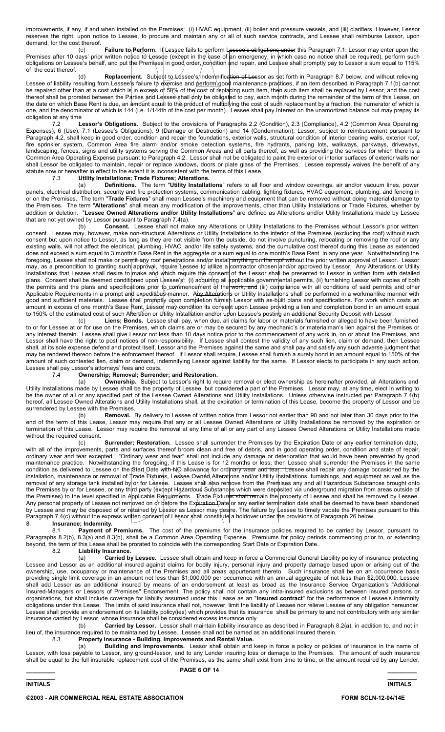improvements, if any, if and when installed on the Premises: (i) HVAC equipment, (ii) boiler and pressure vessels, and (iii) clarifiers. However, Lessor reserves the right, upon notice to Lessee, to procure and maintain any or all of such service contracts, and Lessee shall reimburse Lessor, upon demand, for the cost thereof.

 (c) **Failure to Perform.** If Lessee fails to perform Lessee's obligations under this Paragraph 7.1, Lessor may enter upon the Premises after 10 days' prior written notice to Lessee (except in the case of an emergency, in which case no notice shall be required), perform such obligations on Lessee's behalf, and put the Premises in good order, condition and repair, and Lessee shall promptly pay to Lessor a sum equal to 115% of the cost thereof.

(d) **Replacement.** Subject to Léssee's/indemnification of Lessor as set forth in Paragraph 8.7 below, and without relieving Lessee of liability resulting from Lessee's failure tø exercise and perform\good maintenance practices, if an item described in Paragraph 7.1(b) cannot be repaired other than at a cost which is in excess of 50% of the cost of replacing such item, then such item shall be replaced by Lessor, and the cost thereof shall be prorated between the Parties and Lesseè shall ønly be obligated to pay, each month during the remainder of the term of this Lease, on the date on which Base Rent is due, an amount equal to thè product of multiplying the cost of such replacement by a fraction, the numerator of which is one, and the denominator of which is 144 (i.e. 1/144th of the cost per month). Lessee shall pay Interest on the unamortized balance but may prepay its obligation at any time<br> $7.2$ 

Lessor's Obligations. Subject to the provisions of Paragraphs 2.2 (Condition), 2.3 (Compliance), 4.2 (Common Area Operating Expenses), 6 (Use), 7.1 (Lessee's Obligations), 9 (Damage or Destruction) and 14 (Condemnation), Lessor, subject to reimbursement pursuant to Paragraph 4.2, shall keep in good order, condition and repair the foundations, exterior walls, structural condition of interior bearing walls, exterior roof, fire sprinkler system, Common Area fire alarm and/or smoke detection systems, fire hydrants, parking lots, walkways, parkways, driveways, landscaping, fences, signs and utility systems serving the Common Areas and all parts thereof, as well as providing the services for which there is a Common Area Operating Expense pursuant to Paragraph 4.2. Lessor shall not be obligated to paint the exterior or interior surfaces of exterior walls nor shall Lessor be obligated to maintain, repair or replace windows, doors or plate glass of the Premises. Lessee expressly waives the benefit of any statute now or hereafter in effect to the extent it is inconsistent with the terms of this Lease.<br>T.3 Utility Installations: Trade Fixtures: Alterations.

#### **Utility Installations; Trade Fixtures; Alterations.**

 (a) **Definitions.** The term "**Utility Installations**" refers to all floor and window coverings, air and/or vacuum lines, power panels, electrical distribution, security and fire protection systems, communication cabling, lighting fixtures, HVAC equipment, plumbing, and fencing in or on the Premises. The term "**Trade Fixtures**" shall mean Lessee's machinery and equipment that can be removed without doing material damage to the Premises. The term "**Alterations**" shall mean any modification of the improvements, other than Utility Installations or Trade Fixtures, whether by addition or deletion. "**Lessee Owned Alterations and/or Utility Installations**" are defined as Alterations and/or Utility Installations made by Lessee that are not yet owned by Lessor pursuant to Paragraph 7.4(a).

 (b) **Consent.** Lessee shall not make any Alterations or Utility Installations to the Premises without Lessor's prior written consent. Lessee may, however, make non-structural Alterations or Utility Installations to the interior of the Premises (excluding the roof) without such consent but upon notice to Lessor, as long as they are not visible from the outside, do not involve puncturing, relocating or removing the roof or any existing walls, will not affect the electrical, plumbing, HVAC, and/or life safety systems, and the cumulative cost thereof during this Lease as extended does not exceed a sum equal to 3 month's Base Rent in the aggregate or a sum equal to one month's Base Rent in any one year. Notwithstanding the foregoing, Lessee shall not make or permit-any roof penetrations and/or install anything on the roof without the prior written approval of Lessor. Lessor may, as a precondition to granting such approval, require Lessee to utilize a contractor chosen and/or approved by Lessor. Any Alterations or Utility Installations that Lessee shall desire to make and which require the consent of the Lessor shall be presented to Lessor in written form with detailed plans. Consent shall be deemed conditioned upon Lessee's': (i) adquiring all applicable governmental permits, (ii) furnishing Lessor with copies of both the permits and the plans and specifications prior to commencement of the work, and (iii) compliance with all conditions of said permits and other Applicable Requirements in a prompt and expeditious manner. Any Alterations or Utility Installations shall be performed in a workmanlike manner with good and sufficient materials. Lessee shall promptly upon completion furnish Lessor with as-built plans and specifications. For work which costs an amount in excess of one month's Base Rent, Lessor may condition its consent upon Lessee providing a lien and completion bond in an amount equal to 150% of the estimated cost of such Alteration or Utility Installation and/or upon Lessee's posting an additional Security Deposit with Lessor.

 (c) **Liens; Bonds.** Lessee shall pay, when due, all claims for labor or materials furnished or alleged to have been furnished to or for Lessee at or for use on the Premises, which claims are or may be secured by any mechanic's or materialman's lien against the Premises or any interest therein. Lessee shall give Lessor not less than 10 days notice prior to the commencement of any work in, on or about the Premises, and Lessor shall have the right to post notices of non-responsibility. If Lessee shall contest the validity of any such lien, claim or demand, then Lessee shall, at its sole expense defend and protect itself, Lessor and the Premises against the same and shall pay and satisfy any such adverse judgment that may be rendered thereon before the enforcement thereof. If Lessor shall require, Lessee shall furnish a surety bond in an amount equal to 150% of the amount of such contested lien, claim or demand, indemnifying Lessor against liability for the same. If Lessor elects to participate in any such action, Lessee shall pay Lessor's attorneys' fees and costs.

#### 7.4 **Ownership; Removal; Surrender; and Restoration.**

 (a) **Ownership.** Subject to Lessor's right to require removal or elect ownership as hereinafter provided, all Alterations and Utility Installations made by Lessee shall be the property of Lessee, but considered a part of the Premises. Lessor may, at any time, elect in writing to be the owner of all or any specified part of the Lessee Owned Alterations and Utility Installations. Unless otherwise instructed per Paragraph 7.4(b) hereof, all Lessee Owned Alterations and Utility Installations shall, at the expiration or termination of this Lease, become the property of Lessor and be surrendered by Lessee with the Premises.

 (b) **Removal.** By delivery to Lessee of written notice from Lessor not earlier than 90 and not later than 30 days prior to the end of the term of this Lease, Lessor may require that any or all Lessee Owned Alterations or Utility Installations be removed by the expiration or termination of this Lease. Lessor may require the removal at any time of all or any part of any Lessee Owned Alterations or Utility Installations made without the required consent.

 (c) **Surrender; Restoration.** Lessee shall surrender the Premises by the Expiration Date or any earlier termination date, with all of the improvements, parts and surfaces thereof broom clean and free of debris, and in good operating order, condition and state of repair, ordinary wear and tear excepted. "Ordinary wear and tear" shall not include any damage or deterioration that would have been prevented by good maintenance practice. Notwithstanding the foregoing, if this Lease is for 12 months or less, then Lessee shall surrender the Premises in the same condition as delivered to Lessee on the Start Date with NO allowance for ordinary wear and tear. Lessee shall repair any damage occasioned by the installation, maintenance or removal of Trade Fixtures, Lessee Owned Alterations and/or Utility Installations, furnishings, and equipment as well as the removal of any storage tank installed by or for Lessee. Lessee shall also remove from the Premises any and all Hazardous Substances brought onto the Premises by or for Lessee, or any third party (exdept Hazardous Substances which were deposited via underground migration from areas outside of the Premises) to the level specified in Applicable Requirments. Trade Rixtures shall remain the property of Lessee and shall be removed by Lessee. Any personal property of Lessee not removed on or before the Expiration Date or any earlier termination date shall be deemed to have been abandoned by Lessee and may be disposed of or retained by Lessor as Lessor may desire. The failure by Lessee to timely vacate the Premises pursuant to this Paragraph 7.4(c) without the express written consent of Lessor shall constitute a holdover under the provisions of Paragraph 26 below. 8. **Insurance; Indemnity.**

 8.1 **Payment of Premiums.** The cost of the premiums for the insurance policies required to be carried by Lessor, pursuant to Paragraphs 8.2(b), 8.3(a) and 8.3(b), shall be a Common Area Operating Expense. Premiums for policy periods commencing prior to, or extending beyond, the term of this Lease shall be prorated to coincide with the corresponding Start Date or Expiration Date.

# 8.2 **Liability Insurance.**

 (a) **Carried by Lessee.** Lessee shall obtain and keep in force a Commercial General Liability policy of insurance protecting Lessee and Lessor as an additional insured against claims for bodily injury, personal injury and property damage based upon or arising out of the ownership, use, occupancy or maintenance of the Premises and all areas appurtenant thereto. Such insurance shall be on an occurrence basis providing single limit coverage in an amount not less than \$1,000,000 per occurrence with an annual aggregate of not less than \$2,000,000. Lessee shall add Lessor as an additional insured by means of an endorsement at least as broad as the Insurance Service Organization's "Additional Insured-Managers or Lessors of Premises" Endorsement. The policy shall not contain any intra-insured exclusions as between insured persons or organizations, but shall include coverage for liability assumed under this Lease as an "**insured contract**" for the performance of Lessee's indemnity obligations under this Lease. The limits of said insurance shall not, however, limit the liability of Lessee nor relieve Lessee of any obligation hereunder. Lessee shall provide an endorsement on its liability policy(ies) which provides that its insurance shall be primary to and not contributory with any similar insurance carried by Lessor, whose insurance shall be considered excess insurance only.

 (b) **Carried by Lessor.** Lessor shall maintain liability insurance as described in Paragraph 8.2(a), in addition to, and not in lieu of, the insurance required to be maintained by Lessee. Lessee shall not be named as an additional insured therein.

8.3 **Property Insurance - Building, Improvements and Rental Value.**

 (a) **Building and Improvements.** Lessor shall obtain and keep in force a policy or policies of insurance in the name of Lessor, with loss payable to Lessor, any ground-lessor, and to any Lender insuring loss or damage to the Premises. The amount of such insurance shall be equal to the full insurable replacement cost of the Premises, as the same shall exist from time to time, or the amount required by any Lender,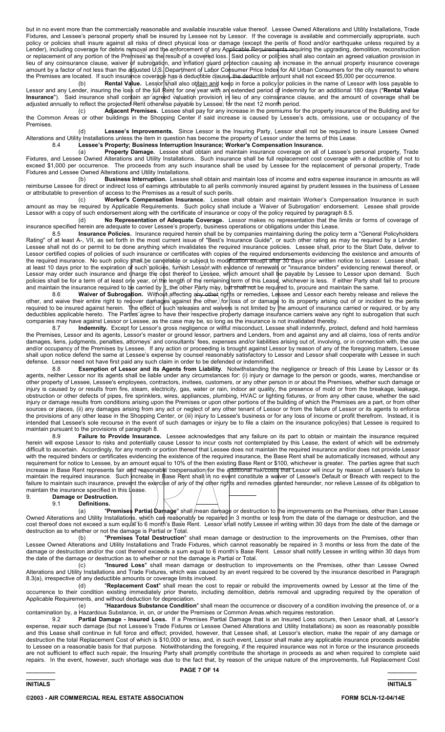but in no event more than the commercially reasonable and available insurable value thereof. Lessee Owned Alterations and Utility Installations, Trade Fixtures, and Lessee's personal property shall be insured by Lessee not by Lessor. If the coverage is available and commercially appropriate, such policy or policies shall insure against all risks of direct physical loss or damage (except the perils of flood and/or earthquake unless required by a Lender), including coverage for debris removal and the enforcement of any Applicable Requirements requiring the upgrading, demolition, reconstruction or replacement of any portion of the Premises as the result of a covered loss. Said policy or policies shall also contain an agreed valuation provision in lieu of any coinsurance clause, waiver of subrogation, and inflation guard protection causing an increase in the annual property insurance coverage amount by a factor of not less than the adjusted U.S. Department of Labor Consumer Price Index for All Urban Consumers for the city nearest to where the Premises are located. If such insurance coverage has∕a deductible clause<del>, the dedu</del>ctible amount shall not exceed \$5,000 per occurrence.

(b) **Rental Value.** Lessor shall also obtain and keep in force a policy or policies in the name of Lessor with loss payable to Lessor and any Lender, insuring the loss of the full Rent for one year with an extended period of indemnity for an additional 180 days ("**Rental Value Insurance**"). Said insurance shall contain an agreed valuation provision in lieu of any coinsurance clause, and the amount of coverage shall be adjusted annually to reflect the projected Rent otherwise payable by Lessee, for the next 12 month period.

 (c) **Adjacent Premises.** Lessee shall pay for any increase in the premiums for the property insurance of the Building and for the Common Areas or other buildings in the Shopping Center if said increase is caused by Lessee's acts, omissions, use or occupancy of the Premises.

 (d) **Lessee's Improvements.** Since Lessor is the Insuring Party, Lessor shall not be required to insure Lessee Owned Alterations and Utility Installations unless the item in question has become the property of Lessor under the terms of this Lease. 8.4 **Lessee's Property; Business Interruption Insurance; Worker's Compensation Insurance.**

 (a) **Property Damage.** Lessee shall obtain and maintain insurance coverage on all of Lessee's personal property, Trade Fixtures, and Lessee Owned Alterations and Utility Installations. Such insurance shall be full replacement cost coverage with a deductible of not to exceed \$1,000 per occurrence. The proceeds from any such insurance shall be used by Lessee for the replacement of personal property, Trade Fixtures and Lessee Owned Alterations and Utility Installations.

 (b) **Business Interruption.** Lessee shall obtain and maintain loss of income and extra expense insurance in amounts as will reimburse Lessee for direct or indirect loss of earnings attributable to all perils commonly insured against by prudent lessees in the business of Lessee or attributable to prevention of access to the Premises as a result of such perils.

 (c) **Worker's Compensation Insurance.** Lessee shall obtain and maintain Worker's Compensation Insurance in such amount as may be required by Applicable Requirements. Such policy shall include a 'Waiver of Subrogation' endorsement. Lessee shall provide Lessor with a copy of such endorsement along with the certificate of insurance or copy of the policy required by paragraph 8.5.

 (d) **No Representation of Adequate Coverage.** Lessor makes no representation that the limits or forms of coverage of insurance specified herein are adequate to cover Lessee's property, business operations or obligations under this Lease.

 8.5 **Insurance Policies.** Insurance required herein shall be by companies maintaining during the policy term a "General Policyholders Rating" of at least A-, VII, as set forth in the most current issue of "Best's Insurance Guide", or such other rating as may be required by a Lender. Lessee shall not do or permit to be done anything which invalidates the required insurance policies. Lessee shall, prior to the Start Date, deliver to Lessor certified copies of policies of such insurance or certificates with copies of the required endorsements evidencing the existence and amounts of the required insurance. No such policy shall be cancelable or subject to modification except after 30 days prior written notice to Lessor. Lessee shall, at least 10 days prior to the expiration of such policies, furnish Lesson with evidence of renewals or "insurance binders" evidencing renewal thereof, or Lessor may order such insurance and charge the cost thereof to Lessee, which amount shall be payable by Lessee to Lessor upon demand. Such policies shall be for a term of at least one year, or\the length of the remaining term of this Lease, whichever is less. If either Party shall fail to procure and maintain the insurance required to be carried by it, the other Party may, but shall not be required to, procure and maintain the same.

8.6 **Waiver of Subrogation.** Without affecting any other rights or remedies, Lessee and Lessor each hereby release and relieve the other, and waive their entire right to recover damages against the other,\for|loss of or damage to its property arising out of or incident to the perils required to be insured against herein. The effect of such releases and waivers is not limited by the amount of insurance carried or required, or by any deductibles applicable hereto. The Parties agree to have their respective property damage insurance carriers waive any right to subrogation that such companies may have against Lessor or Lessee, as the case may be, so long as the insurance is not invalidated thereby.

 8.7 **Indemnity.** Except for Lessor's gross negligence or willful misconduct, Lessee shall indemnify, protect, defend and hold harmless the Premises, Lessor and its agents, Lessor's master or ground lessor, partners and Lenders, from and against any and all claims, loss of rents and/or damages, liens, judgments, penalties, attorneys' and consultants' fees, expenses and/or liabilities arising out of, involving, or in connection with, the use and/or occupancy of the Premises by Lessee. If any action or proceeding is brought against Lessor by reason of any of the foregoing matters, Lessee shall upon notice defend the same at Lessee's expense by counsel reasonably satisfactory to Lessor and Lessor shall cooperate with Lessee in such defense. Lessor need not have first paid any such claim in order to be defended or indemnified.

 8.8 **Exemption of Lessor and its Agents from Liability**. Notwithstanding the negligence or breach of this Lease by Lessor or its agents, neither Lessor nor its agents shall be liable under any circumstances for: (i) injury or damage to the person or goods, wares, merchandise or other property of Lessee, Lessee's employees, contractors, invitees, customers, or any other person in or about the Premises, whether such damage or injury is caused by or results from fire, steam, electricity, gas, water or rain, indoor air quality, the presence of mold or from the breakage, leakage, obstruction or other defects of pipes, fire sprinklers, wires, appliances, plumbing, HVAC or lighting fixtures, or from any other cause, whether the said injury or damage results from conditions arising upon the Premises or upon other portions of the building of which the Premises are a part, or from other sources or places, (ii) any damages arising from any act or neglect of any other tenant of Lessor or from the failure of Lessor or its agents to enforce the provisions of any other lease in the Shopping Center, or (iii) injury to Lessee's business or for any loss of income or profit therefrom. Instead, it is intended that Lessee's sole recourse in the event of such damages or injury be to file a claim on the insurance policy(ies) that Lessee is required to maintain pursuant to the provisions of paragraph 8.

 8.9 **Failure to Provide Insurance.** Lessee acknowledges that any failure on its part to obtain or maintain the insurance required herein will expose Lessor to risks and potentially cause Lessor to incur costs not contemplated by this Lease, the extent of which will be extremely difficult to ascertain. Accordingly, for any month or portion thereof that Lessee does not maintain the required insurance and/or does not provide Lessor with the required binders or certificates evidencing the existence of the required insurance, the Base Rent shall be automatically increased, without any requirement for notice to Lessee, by an amount equal to 10% of the then existing Base Rent or \$100, whichever is greater. The parties agree that such increase in Base Rent represents fair and reasonable compensation/for the additional risk/costs that Lessor will incur by reason of Lessee's failure to maintain the required insurance. Such increase in Base Rent shall/iὴ no event constitute a waiver of Lessee's Default or Breach with respect to the failure to maintain such insurance, prevent the exercise of any of the other rights and remedies granted hereunder, nor relieve Lessee of its obligation to maintain the insurance specified in this  $\downarrow$  ease.

# 9. **Damage or Destruction.**

9.1 **Definitions.**

 (a) "**Premises Partial Damage**" shall mean damage or destruction to the improvements on the Premises, other than Lessee Owned Alterations and Utility Installations, which can reasonably be repaired in 3 months or less from the date of the damage or destruction, and the cost thereof does not exceed a sum equal to 6 month's Base Rent. Lessor shall notify Lessee in writing within 30 days from the date of the damage or destruction as to whether or not the damage is Partial or Total.

 (b) "**Premises Total Destruction**" shall mean damage or destruction to the improvements on the Premises, other than Lessee Owned Alterations and Utility Installations and Trade Fixtures, which cannot reasonably be repaired in 3 months or less from the date of the damage or destruction and/or the cost thereof exceeds a sum equal to 6 month's Base Rent. Lessor shall notify Lessee in writing within 30 days from the date of the damage or destruction as to whether or not the damage is Partial or Total.

 (c) "**Insured Loss**" shall mean damage or destruction to improvements on the Premises, other than Lessee Owned Alterations and Utility Installations and Trade Fixtures, which was caused by an event required to be covered by the insurance described in Paragraph 8.3(a), irrespective of any deductible amounts or coverage limits involved.

 (d) "**Replacement Cost**" shall mean the cost to repair or rebuild the improvements owned by Lessor at the time of the occurrence to their condition existing immediately prior thereto, including demolition, debris removal and upgrading required by the operation of Applicable Requirements, and without deduction for depreciation.

 (e) "**Hazardous Substance Condition**" shall mean the occurrence or discovery of a condition involving the presence of, or a contamination by, a Hazardous Substance, in, on, or under the Premises or Common Areas.which requires restoration.

 9.2 **Partial Damage - Insured Loss.** If a Premises Partial Damage that is an Insured Loss occurs, then Lessor shall, at Lessor's expense, repair such damage (but not Lessee's Trade Fixtures or Lessee Owned Alterations and Utility Installations) as soon as reasonably possible and this Lease shall continue in full force and effect; provided, however, that Lessee shall, at Lessor's election, make the repair of any damage or destruction the total Replacement Cost of which is \$10,000 or less, and, in such event, Lessor shall make any applicable insurance proceeds available to Lessee on a reasonable basis for that purpose. Notwithstanding the foregoing, if the required insurance was not in force or the insurance proceeds are not sufficient to effect such repair, the Insuring Party shall promptly contribute the shortage in proceeds as and when required to complete said repairs. In the event, however, such shortage was due to the fact that, by reason of the unique nature of the improvements, full Replacement Cost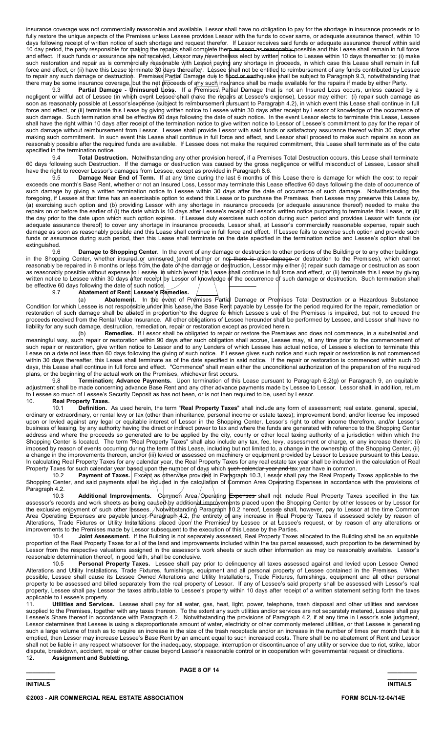insurance coverage was not commercially reasonable and available, Lessor shall have no obligation to pay for the shortage in insurance proceeds or to fully restore the unique aspects of the Premises unless Lessee provides Lessor with the funds to cover same, or adequate assurance thereof, within 10 days following receipt of written notice of such shortage and request therefor. If Lessor receives said funds or adequate assurance thereof within said 10 day period, the party responsible for making the repairs shall complete them as soon as reasonably possible and this Lease shall remain in full force and effect. If such funds or assurance are not received, Lessor may nevertheless elect by written notice to Lessee within 10 days thereafter to: (i) make such restoration and repair as is commercially reasonable with Lesson paying any shortage in proceeds, in which case this Lease shall remain in full force and effect, or (ii) have this Lease terminate 30 days thereafter. Lessee shall not be entitled to reimbursement of any funds contributed by Lessee to repair any such damage or destructioh. Premises Partial Damage due to flood or earthquake shall be subject to Paragraph 9.3, notwithstanding that there may be some insurance coverage, but the net proceeds of any such insurance shall be made available for the repairs if made by either Party.

9.3 **Partial Damage - Uninsured Loss.** If a Premises Partial Damage that is not an Insured Loss occurs, unless caused by a negligent or willful act of Lessee (in which event Lessee shall make the repairs at Lessee's expense), Lessor may either: (i) repair such damage as soon as reasonably possible at Lessor's expense (subject to reimbursement pursuant to Paragraph 4.2), in which event this Lease shall continue in full force and effect, or (ii) terminate this Lease by giving written notice to Lessee within 30 days after receipt by Lessor of knowledge of the occurrence of such damage. Such termination shall be effective 60 days following the date of such notice. In the event Lessor elects to terminate this Lease, Lessee shall have the right within 10 days after receipt of the termination notice to give written notice to Lessor of Lessee's commitment to pay for the repair of such damage without reimbursement from Lessor. Lessee shall provide Lessor with said funds or satisfactory assurance thereof within 30 days after making such commitment. In such event this Lease shall continue in full force and effect, and Lessor shall proceed to make such repairs as soon as reasonably possible after the required funds are available. If Lessee does not make the required commitment, this Lease shall terminate as of the date specified in the termination notice.

 9.4 **Total Destruction.** Notwithstanding any other provision hereof, if a Premises Total Destruction occurs, this Lease shall terminate 60 days following such Destruction. If the damage or destruction was caused by the gross negligence or willful misconduct of Lessee, Lessor shall have the right to recover Lessor's damages from Lessee, except as provided in Paragraph 8.6.

 9.5 **Damage Near End of Term.** If at any time during the last 6 months of this Lease there is damage for which the cost to repair exceeds one month's Base Rent, whether or not an Insured Loss, Lessor may terminate this Lease effective 60 days following the date of occurrence of such damage by giving a written termination notice to Lessee within 30 days after the date of occurrence of such damage. Notwithstanding the foregoing, if Lessee at that time has an exercisable option to extend this Lease or to purchase the Premises, then Lessee may preserve this Lease by, (a) exercising such option and (b) providing Lessor with any shortage in insurance proceeds (or adequate assurance thereof) needed to make the repairs on or before the earlier of (i) the date which is 10 days after Lessee's receipt of Lessor's written notice purporting to terminate this Lease, or (ii) the day prior to the date upon which such option expires. If Lessee duly exercises such option during such period and provides Lessor with funds (or adequate assurance thereof) to cover any shortage in insurance proceeds, Lessor shall, at Lessor's commercially reasonable expense, repair such damage as soon as reasonably possible and this Lease shall continue in full force and effect. If Lessee fails to exercise such option and provide such funds or assurance during such period, then this Lease shall terminate on the date specified in the termination notice and Lessee's option shall be extinguished.

 9.6 **Damage to Shopping Center.** In the event of any damage or destruction to other portions of the Building or to any other buildings in the Shopping Center, whether insured or uninsured (and whether or not there is also damage or destruction to the Premises), which cannot reasonably be repaired in 6 months or less from the date of the damage or destruction, Lessor may either (i) repair such damage or destruction as soon as reasonably possible without expense∣to Lessèe, in which event this Lease shall continue in full force and effect, or (ii) terminate this Lease by giving written notice to Lessee within 30 days after receipt by Lessor of khowledge of the occurrence of such damage or destruction. Such termination shall be effective 60 days following the date of such notice.

# 9.7 **Abatement of Rent; Lessee's Remedies.**

 (a) **Abatement.** In the event of Premises Partial Damage or Premises Total Destruction or a Hazardous Substance Condition for which Lessee is not responsible under this Lease,/the Base Rent payable by Lessee for the period required for the repair, remediation or restoration of such damage shall be abated in proportion`to the degree to which Lessee's use of the Premises is impaired, but not to exceed the proceeds received from the Rental Value Insurance. All other obligations of Lessee hereunder shall be performed by Lessee, and Lessor shall have no liability for any such damage, destruction, remediation, repair or restoration except as provided herein.

 (b) **Remedies.** If Lessor shall be obligated to repair or restore the Premises and does not commence, in a substantial and meaningful way, such repair or restoration within 90 days after such obligation shall accrue, Lessee may, at any time prior to the commencement of such repair or restoration, give written notice to Lessor and to any Lenders of which Lessee has actual notice, of Lessee's election to terminate this Lease on a date not less than 60 days following the giving of such notice. If Lessee gives such notice and such repair or restoration is not commenced within 30 days thereafter, this Lease shall terminate as of the date specified in said notice. If the repair or restoration is commenced within such 30 days, this Lease shall continue in full force and effect. "Commence" shall mean either the unconditional authorization of the preparation of the required plans, or the beginning of the actual work on the Premises, whichever first occurs.<br>9.8 **Termination: Advance Payments.** Upon termination of this

 9.8 **Termination; Advance Payments.** Upon termination of this Lease pursuant to Paragraph 6.2(g) or Paragraph 9, an equitable adjustment shall be made concerning advance Base Rent and any other advance payments made by Lessee to Lessor. Lessor shall, in addition, return to Lessee so much of Lessee's Security Deposit as has not been, or is not then required to be, used by Lessor.

10. **Real Property Taxes.**

 10.1 **Definition.** As used herein, the term "**Real Property Taxes**" shall include any form of assessment; real estate, general, special, ordinary or extraordinary, or rental levy or tax (other than inheritance, personal income or estate taxes); improvement bond; and/or license fee imposed upon or levied against any legal or equitable interest of Lessor in the Shopping Center, Lessor's right to other income therefrom, and/or Lessor's business of leasing, by any authority having the direct or indirect power to tax and where the funds are generated with reference to the Shopping Center address and where the proceeds so generated are to be applied by the city, county or other local taxing authority of a jurisdiction within which the Shopping Center is located. The term "Real Property Taxes" shall also include any tax, fee, levy, assessment or charge, or any increase therein: (i) imposed by reason of events occurring during the term of this Lease, including but not limited to, a change in the ownership of the Shopping Center, (ii) a change in the improvements thereon, and/or (iii) levied or assessed on machinery or equipment provided by Lessor to Lessee pursuant to this Lease. In calculating Real Property Taxes for any calendar year, the Real Property Taxes for any real estate tax year shall be included in the calculation of Real Property Taxes for such calendar year b<del>ase</del>d upon the number of days which s<del>uch calen</del>da<del>r year and ta</del>x year have in common.

 10.2 **Payment of Taxes.** Except as otherwise provided in Paragraph 10.3, Lessor shall pay the Real Property Taxes applicable to the Shopping Center, and said payments shall be included in the calculation of Common Area Operating Expenses in accordance with the provisions of Paragraph 4.2.

10.3 **Additional Improvements.** Common Area/Operating Expenses shall not include Real Property Taxes specified in the tax assessor's records and work sheets as being caused∖by additional improvements placed upon the Shopping Center by other lessees or by Lessor for the exclusive enjoyment of such other lessees. Notwithstanding Paragraph 10.2 hereof, Lessee shall, however, pay to Lessor at the time Common Area Operating Expenses are payable under Paragraph 4.2, the entirety of any increase in Real Property Taxes if assessed solely by reason of Alterations, Trade Fixtures or Utility Instatlations placed upon the Premises by Lessee or at Lessee's request, or by reason of any alterations or improvements to the Premises made by Lessor subsequent to the execution of this Lease by the Parties.

 10.4 **Joint Assessment.** If the Building is not separately assessed, Real Property Taxes allocated to the Building shall be an equitable proportion of the Real Property Taxes for all of the land and improvements included within the tax parcel assessed, such proportion to be determined by Lessor from the respective valuations assigned in the assessor's work sheets or such other information as may be reasonably available. Lessor's reasonable determination thereof, in good faith, shall be conclusive.

 10.5 **Personal Property Taxes.** Lessee shall pay prior to delinquency all taxes assessed against and levied upon Lessee Owned Alterations and Utility Installations, Trade Fixtures, furnishings, equipment and all personal property of Lessee contained in the Premises. When possible, Lessee shall cause its Lessee Owned Alterations and Utility Installations, Trade Fixtures, furnishings, equipment and all other personal property to be assessed and billed separately from the real property of Lessor. If any of Lessee's said property shall be assessed with Lessor's real property, Lessee shall pay Lessor the taxes attributable to Lessee's property within 10 days after receipt of a written statement setting forth the taxes applicable to Lessee's property.

11. **Utilities and Services.** Lessee shall pay for all water, gas, heat, light, power, telephone, trash disposal and other utilities and services supplied to the Premises, together with any taxes thereon. To the extent any such utilities and/or services are not separately metered, Lessee shall pay Lessee's Share thereof in accordance with Paragraph 4.2. Notwithstanding the provisions of Paragraph 4.2, if at any time in Lessor's sole judgment, Lessor determines that Lessee is using a disproportionate amount of water, electricity or other commonly metered utilities, or that Lessee is generating such a large volume of trash as to require an increase in the size of the trash receptacle and/or an increase in the number of times per month that it is emptied, then Lessor may increase Lessee's Base Rent by an amount equal to such increased costs. There shall be no abatement of Rent and Lessor shall not be liable in any respect whatsoever for the inadequacy, stoppage, interruption or discontinuance of any utility or service due to riot, strike, labor dispute, breakdown, accident, repair or other cause beyond Lessor's reasonable control or in cooperation with governmental request or directions.<br>12 **Assignment and Subletting Assignment and Subletting.** 

**\_\_\_\_\_\_\_\_\_ PAGE 8 OF 14 \_\_\_\_\_\_\_\_\_**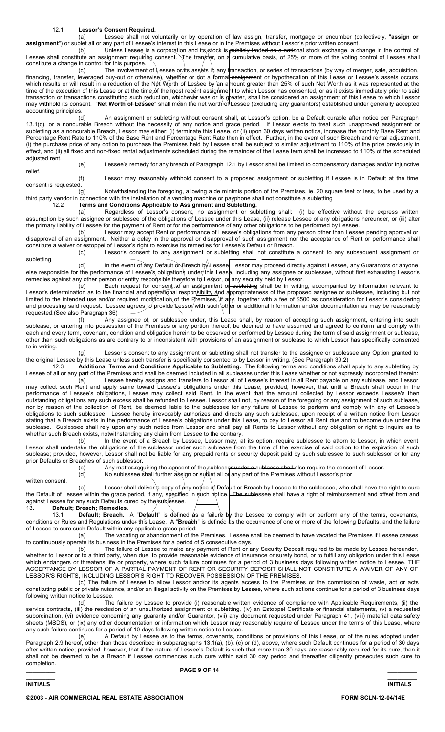# 12.1 **Lessor's Consent Required.**<br>(a) **Lessee shall not vo**

Lessee shall not voluntarily or by operation of law assign, transfer, mortgage or encumber (collectively, "assign or **assignment**") or sublet all or any part of Lessee's interest in this Lease or in the Premises without Lessor's prior written consent.

(b) Unless Lessee is a corperation and its<sub>/i</sub>stock is <del>publicly tra</del>de<del>d on a nati</del>onal stock exchange, a change in the control of Lessee shall constitute an assignment requiring consent. The transfer, on a cumulative basis, of 25% or more of the voting control of Lessee shall Lessee shall constitute an assignment requiring consent.<br>
constitute a change in control for this purpose.<br>
(c) The involvement of Lessee

(c) The involvement of Lessee or/its assets in any transaction, or series of transactions (by way of merger, sale, acquisition, financing, transfer, leveraged buy-out or otherwise), whether or not a forma<del>l assignm</del>ent or hypothecation of this Lease or Lessee's assets occurs, which results or will result in a reduction of the Net Worth of Lessee by an amount greater than 25% of such Net Worth as it was represented at the time of the execution of this Lease or at ∣the time ∕of the most rec¢nt assignment to which Lessor has consented, or as it exists immediately prior to said transaction or transactions constituting such reduction, whichever was or is greater, shall be considered an assignment of this Lease to which Lessor may withhold its consent. "**Net Worth o<del>f L</del>essee**" shall mean the net worth of Lessee (excluding any guarantors) established under generally accepted accounting principles.

 (d) An assignment or subletting without consent shall, at Lessor's option, be a Default curable after notice per Paragraph 13.1(c), or a noncurable Breach without the necessity of any notice and grace period. If Lessor elects to treat such unapproved assignment or subletting as a noncurable Breach, Lessor may either: (i) terminate this Lease, or (ii) upon 30 days written notice, increase the monthly Base Rent and Percentage Rent Rate to 110% of the Base Rent and Percentage Rent Rate then in effect. Further, in the event of such Breach and rental adjustment, (i) the purchase price of any option to purchase the Premises held by Lessee shall be subject to similar adjustment to 110% of the price previously in effect, and (ii) all fixed and non-fixed rental adjustments scheduled during the remainder of the Lease term shall be increased to 110% of the scheduled adjusted rent.

 (e) Lessee's remedy for any breach of Paragraph 12.1 by Lessor shall be limited to compensatory damages and/or injunctive relief.

 (f) Lessor may reasonably withhold consent to a proposed assignment or subletting if Lessee is in Default at the time consent is requested

 (g) Notwithstanding the foregoing, allowing a de minimis portion of the Premises, ie. 20 square feet or less, to be used by a third party vendor in connection with the installation of a vending machine or payphone shall not constitute a subletting<br>12.2 Terms and Conditions Applicable to Assignment and Subletting. **Terms and Conditions Applicable to Assignment and Subletting.** 

 (a) Regardless of Lessor's consent, no assignment or subletting shall: (i) be effective without the express written assumption by such assignee or sublessee of the obligations of Lessee under this Lease, (ii) release Lessee of any obligations hereunder, or (iii) alter the primary liability of Lessee for the payment of Rent or for the performance of any other obligations to be performed by Lessee.

 (b) Lessor may accept Rent or performance of Lessee's obligations from any person other than Lessee pending approval or disapproval of an assignment. Neither a delay in the approval or disapproval of such assignment nor the acceptance of Rent or performance shall constitute a waiver or estoppel of Lessor's right to exercise its remedies for Lessee's Default or Breach.

 (c) Lessor's consent to any assignment or subletting shall not constitute a consent to any subsequent assignment or subletting.

 (d) In the event of any Default or Breach by Lessee, Lessor may proceed directly against Lessee, any Guarantors or anyone else responsible for the performance of Lessee's obligations under this Lease, including any assignee or sublessee, without first exhausting Lessor's remedies against any other person or entity responsible therefore to Lessor, or any security held by Lessor.

(e) Each request for consent to an assignment o<del>r subletting</del> shall be in writing, accompanied by information relevant to Lessor's determination as to the financial and operational responsibility and appropriateness of the proposed assignee or sublessee, including but not limited to the intended use and/or required modification of the Premises, if any, together with a fee of \$500 as consideration for Lessor's considering and processing said request. Lessee agrees to provide Lessor with such other or additional information and/or documentation as may be reasonably requested. (See also Paragraph 36) requested.(See also Paragraph 36)<br>6 Any

Any assignee of, or sublessee under, this Lease shall, by reason of accepting such assignment, entering into such sublease, or entering into possession of the Premises or any portion thereof, be deemed to have assumed and agreed to conform and comply with each and every term, covenant, condition and obligation herein to be observed or performed by Lessee during the term of said assignment or sublease, other than such obligations as are contrary to or inconsistent with provisions of an assignment or sublease to which Lessor has specifically consented to in writing.

 (g) Lessor's consent to any assignment or subletting shall not transfer to the assignee or sublessee any Option granted to the original Lessee by this Lease unless such transfer is specifically consented to by Lessor in writing. (See Paragraph 39.2)

 12.3 **Additional Terms and Conditions Applicable to Subletting.** The following terms and conditions shall apply to any subletting by Lessee of all or any part of the Premises and shall be deemed included in all subleases under this Lease whether or not expressly incorporated therein: (a) Lessee hereby assigns and transfers to Lessor all of Lessee's interest in all Rent payable on any sublease, and Lessor may collect such Rent and apply same toward Lessee's obligations under this Lease; provided, however, that until a Breach shall occur in the

performance of Lessee's obligations, Lessee may collect said Rent. In the event that the amount collected by Lessor exceeds Lessee's then outstanding obligations any such excess shall be refunded to Lessee. Lessor shall not, by reason of the foregoing or any assignment of such sublease, nor by reason of the collection of Rent, be deemed liable to the sublessee for any failure of Lessee to perform and comply with any of Lessee's obligations to such sublessee. Lessee hereby irrevocably authorizes and directs any such sublessee, upon receipt of a written notice from Lessor stating that a Breach exists in the performance of Lessee's obligations under this Lease, to pay to Lessor all Rent due and to become due under the sublease. Sublessee shall rely upon any such notice from Lessor and shall pay all Rents to Lessor without any obligation or right to inquire as to whether such Breach exists, notwithstanding any claim from Lessee to the contrary.

 (b) In the event of a Breach by Lessee, Lessor may, at its option, require sublessee to attorn to Lessor, in which event Lessor shall undertake the obligations of the sublessor under such sublease from the time of the exercise of said option to the expiration of such sublease; provided, however, Lessor shall not be liable for any prepaid rents or security deposit paid by such sublessee to such sublessor or for any prior Defaults or Breaches of such sublessor.

(c) Any matter requiring the consent of the sublessor under a sublease shall also require the consent of Lessor.

(d) No sublessee shall further assign or sublet all or any part of the Premises without Lessor's prior

written consent. (e) Lessor shall deliver a copy of any notice of Default or Breach by Lessee to the sublessee, who shall have the right to cure the Default of Lessee within the grace period, if any, specified in such notice. The sublessee shall have a right of reimbursement and offset from and against Lessee for any such Defaults cured by the/sublessee.

13. **Default; Breach; Remedies.**

"Default" is defined as a failure by the Lessee to comply with or perform any of the terms, covenants, conditions or Rules and Regulations under this Lease. A "**Breach**" is defined as the occurrence of one or more of the following Defaults, and the failure of Lessee to cure such Default within any applicable grace period:

 (a) The vacating or abandonment of the Premises. Lessee shall be deemed to have vacated the Premises if Lessee ceases to continuously operate its business in the Premises for a period of 5 consecutive days.

 (b) The failure of Lessee to make any payment of Rent or any Security Deposit required to be made by Lessee hereunder, whether to Lessor or to a third party, when due, to provide reasonable evidence of insurance or surety bond, or to fulfill any obligation under this Lease which endangers or threatens life or property, where such failure continues for a period of 3 business days following written notice to Lessee. THE ACCEPTANCE BY LESSOR OF A PARTIAL PAYMENT OF RENT OR SECURITY DEPOSIT SHALL NOT CONSTITUTE A WAIVER OF ANY OF LESSOR'S RIGHTS, INCLUDING LESSOR'S RIGHT TO RECOVER POSSESSION OF THE PREMISES.

 (c) The failure of Lessee to allow Lessor and/or its agents access to the Premises or the commission of waste, act or acts constituting public or private nuisance, and/or an illegal activity on the Premises by Lessee, where such actions continue for a period of 3 business days following written notice to Lessee.<br>(d) The

The failure by Lessee to provide (i) reasonable written evidence of compliance with Applicable Requirements, (ii) the service contracts, (iii) the rescission of an unauthorized assignment or subletting, (iv) an Estoppel Certificate or financial statements, (v) a requested subordination, (vi) evidence concerning any guaranty and/or Guarantor, (vii) any document requested under Paragraph 41, (viii) material data safety sheets (MSDS), or (ix) any other documentation or information which Lessor may reasonably require of Lessee under the terms of this Lease, where any such failure continues for a period of 10 days following written notice to Lessee.

 (e) A Default by Lessee as to the terms, covenants, conditions or provisions of this Lease, or of the rules adopted under Paragraph 2.9 hereof, other than those described in subparagraphs 13.1(a), (b), (c) or (d), above, where such Default continues for a period of 30 days after written notice; provided, however, that if the nature of Lessee's Default is such that more than 30 days are reasonably required for its cure, then it shall not be deemed to be a Breach if Lessee commences such cure within said 30 day period and thereafter diligently prosecutes such cure to completion.

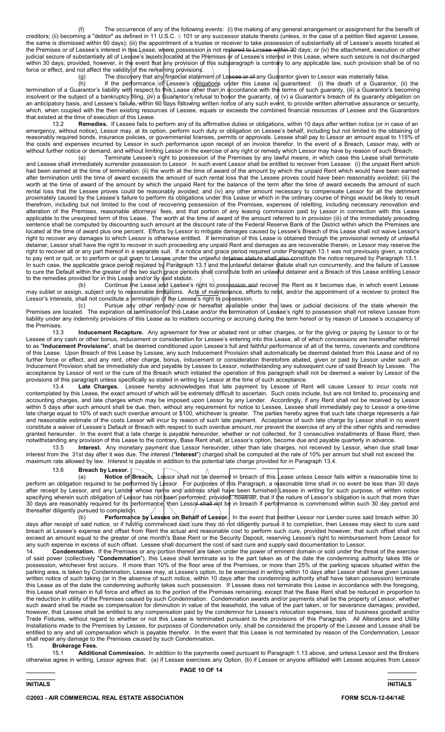(f) The occurrence of any of the following events: (i) the making of any general arrangement or assignment for the benefit of creditors; (ii) becoming a "debtor" as defined in 11 U.S.C. § 101 or any successor statute thereto (unless, in the case of a petition filed against Lessee, the same is dismissed within 60 days); (iii) the appointment of a trustee or receiver to take possession of substantially all of Lessee's assets located at the Premises or of Lessee's interest in this Lease, where possession is not restored to Lessee within 30 days; or (iv) the attachment, execution or other judicial seizure of substantially all of Lessee's assets|locatèd at the Premises or of Lessee's interest in this Lease, where such seizure is not discharged within 30 days; provided, however, in the event that any provision of this subparagraph is contrary to any applicable law, such provision shall be of no force or effect, and not affect the validity of the remaining provisions.

(g) The discovery that any financial statement\of Lessee or of any Guarantor given to Lessor was materially false.

(h) If the performance of Lessee's opligations under this Lease is guaranteed: (i) the death of a Guarantor, (ii) the termination of a Guarantor's liability with respect to this Lease other than in accordance with the terms of such guaranty, (iii) a Guarantor's becoming insolvent or the subject of a bankruptcy |filing, *(*iν́) a Guarantor's/refusal to honor the guaranty, or (ν) a Guarantor's breach of its guaranty obligation on an anticipatory basis, and Lessee's failu<del>le, w</del>ithin 60 days fòllowing written notice of any such event, to provide written alternative assurance or security, which, when coupled with the then existing resources of Lessee, equals or exceeds the combined financial resources of Lessee and the Guarantors that existed at the time of execution of this Lease.<br>13.2 **Remedies.** If Lessee fails to

Remedies. If Lessee fails to perform any of its affirmative duties or obligations, within 10 days after written notice (or in case of an emergency, without notice), Lessor may, at its option, perform such duty or obligation on Lessee's behalf, including but not limited to the obtaining of reasonably required bonds, insurance policies, or governmental licenses, permits or approvals. Lessee shall pay to Lessor an amount equal to 115% of the costs and expenses incurred by Lessor in such performance upon receipt of an invoice therefor. In the event of a Breach, Lessor may, with or without further notice or demand, and without limiting Lessor in the exercise of any right or remedy which Lessor may have by reason of such Breach:

 (a) Terminate Lessee's right to possession of the Premises by any lawful means, in which case this Lease shall terminate and Lessee shall immediately surrender possession to Lessor. In such event Lessor shall be entitled to recover from Lessee: (i) the unpaid Rent which had been earned at the time of termination; (ii) the worth at the time of award of the amount by which the unpaid Rent which would have been earned after termination until the time of award exceeds the amount of such rental loss that the Lessee proves could have been reasonably avoided; (iii) the worth at the time of award of the amount by which the unpaid Rent for the balance of the term after the time of award exceeds the amount of such rental loss that the Lessee proves could be reasonably avoided; and (iv) any other amount necessary to compensate Lessor for all the detriment proximately caused by the Lessee's failure to perform its obligations under this Lease or which in the ordinary course of things would be likely to result therefrom, including but not limited to the cost of recovering possession of the Premises, expenses of reletting, including necessary renovation and alteration of the Premises, reasonable attorneys' fees, and that portion of any leasing commission paid by Lessor in connection with this Lease applicable to the unexpired term of this Lease. The worth at the time of award of the amount referred to in provision (iii) of the immediately preceding sentence shall be computed by discounting such amount at the discount rate of the Federal Reserve Bank of the District within which the Premises are located at the time of award plus one percent. Efforts by Lessor to mitigate damages caused by Lessee's Breach of this Lease shall not waive Lessor's right to recover any damages to which Lessor is otherwise entitled. If termination of this Lease is obtained through the provisional remedy of unlawful detainer, Lessor shall have the right to recover in such proceeding any unpaid Rent and damages as are recoverable therein, or Lessor may reserve the right to recover all or any part thereof in a separate suit. If a notice and grace period required under Paragraph 13.1 was not previously given, a notice to pay rent or quit, or to perform or quit <del>given</del> to Lessee under the unlawful detainer statute-shall also constitute the notice required by Paragraph 13.1. In such case, the applicable grace period required by Paragraph 13.1 and the unlawful detainer statute shall run concurrently, and the failure of Lessee to cure the Default within the greater of the two such grace periods shall constitute both an unlawful detainer and a Breach of this Lease entitling Lessor to the remedies provided for in this Lease and/or by said statute.

(b) Continue the Lease and Lessee's right to possession and recover the Rent as it becomes due, in which event Lessee may sublet or assign, subject only to reasonable limitations. Acts of maintenance, efforts to relet, and/or the appointment of a receiver to protect the Lessor's interests, shall not constitute a termination of the Lessee's right to possession.

(c) Pursue any other remedy now or hereafter available under the laws or judicial decisions of the state wherein the remises are located. The expiration or termination of this Lease and/or the termination of Lessee's right to possession shall not relieve Lessee from liability under any indemnity provisions of this Lease as to matters occurring or accruing during the term hereof or by reason of Lessee's occupancy of the Premises.<br>13.3

Inducement Recapture. Any agreement for free or abated rent or other charges, or for the giving or paying by Lessor to or for Lessee of any cash or other bonus, inducement or consideration for Lessee's entering into this Lease, all of which concessions are hereinafter referred to as "**Inducement Provisions**", shall be deemed conditioned upon Lessee's full and faithful performance of all of the terms, covenants and conditions of this Lease. Upon Breach of this Lease by Lessee, any such Inducement Provision shall automatically be deemed deleted from this Lease and of no further force or effect, and any rent, other charge, bonus, inducement or consideration theretofore abated, given or paid by Lessor under such an Inducement Provision shall be immediately due and payable by Lessee to Lessor, notwithstanding any subsequent cure of said Breach by Lessee. The acceptance by Lessor of rent or the cure of the Breach which initiated the operation of this paragraph shall not be deemed a waiver by Lessor of the provisions of this paragraph unless specifically so stated in writing by Lessor at the time of such acceptance.

 13.4 **Late Charges.** Lessee hereby acknowledges that late payment by Lessee of Rent will cause Lessor to incur costs not contemplated by this Lease, the exact amount of which will be extremely difficult to ascertain. Such costs include, but are not limited to, processing and accounting charges, and late charges which may be imposed upon Lessor by any Lender. Accordingly, if any Rent shall not be received by Lessor within 5 days after such amount shall be due, then, without any requirement for notice to Lessee, Lessee shall immediately pay to Lessor a one-time late charge equal to 10% of each such overdue amount or \$100, whichever is greater. The parties hereby agree that such late charge represents a fair and reasonable estimate of the costs Lessor will incur by reason of such late payment. Acceptance of such late charge by Lessor shall in no event constitute a waiver of Lessee's Default or Breach with respect to such overdue amount, nor prevent the exercise of any of the other rights and remedies granted hereunder. In the event that a late charge is payable hereunder, whether or not collected, for 3 consecutive installments of Base Rent, then notwithstanding any provision of this Lease to the contrary, Base Rent shall, at Lessor's option, become due and payable quarterly in advance.

 13.5 **Interest.** Any monetary payment due Lessor hereunder, other than late charges, not received by Lessor, when due shall bear interest from the 31st day after it was due. The interest ("**Interest**") charged shall be computed at the rate of 10% per annum but shall not exceed the maximum rate allowed by law. Interest is payable in addition to the potential late charge provided for in Paragraph 13.4.

# 13.6 **Breach by Lessor.**

 (a) **Notice of Breach.** Lessor shall not be deemed in breach of this Lease unless Lessor fails within a reasonable time to perform an obligation required to be performed by Lessor. For purposes of this Paragraph, a reasonable time shall in no event be less than 30 days after receipt by Lessor, and any Lender whose name and/address shall have been furnished Lessee in writing for such purpose, of written notice specifying wherein such obligation of Lessor has not been performed; provided, however, that if the nature of Lessor's obligation is such that more than then Lessor shall not be in breach if performance is commenced within such 30 day period and 30 days are reasonably required for its performance.<br>thereafter diligently pursued to completion.

 (b) **Performance by Lessee on Behalf of Lessor.** In the event that neither Lessor nor Lender cures said breach within 30 days after receipt of said notice, or if having commenced said cure they do not diligently pursue it to completion, then Lessee may elect to cure said breach at Lessee's expense and offset from Rent the actual and reasonable cost to perform such cure, provided however, that such offset shall not exceed an amount equal to the greater of one month's Base Rent or the Security Deposit, reserving Lessee's right to reimbursement from Lessor for any such expense in excess of such offset. Lessee shall document the cost of said cure and supply said documentation to Lessor.<br>14. Condemnation. If the Premises or any portion thereof are taken under the power of eminent

Condemnation. If the Premises or any portion thereof are taken under the power of eminent domain or sold under the threat of the exercise of said power (collectively "**Condemnation**"), this Lease shall terminate as to the part taken as of the date the condemning authority takes title or possession, whichever first occurs. If more than 10% of the floor area of the Premises, or more than 25% of the parking spaces situated within the parking area, is taken by Condemnation, Lessee may, at Lessee's option, to be exercised in writing within 10 days after Lessor shall have given Lessee written notice of such taking (or in the absence of such notice, within 10 days after the condemning authority shall have taken possession) terminate this Lease as of the date the condemning authority takes such possession. If Lessee does not terminate this Lease in accordance with the foregoing, this Lease shall remain in full force and effect as to the portion of the Premises remaining, except that the Base Rent shall be reduced in proportion to the reduction in utility of the Premises caused by such Condemnation. Condemnation awards and/or payments shall be the property of Lessor, whether such award shall be made as compensation for diminution in value of the leasehold, the value of the part taken, or for severance damages; provided, however, that Lessee shall be entitled to any compensation paid by the condemnor for Lessee's relocation expenses, loss of business goodwill and/or Trade Fixtures, without regard to whether or not this Lease is terminated pursuant to the provisions of this Paragraph. All Alterations and Utility Installations made to the Premises by Lessee, for purposes of Condemnation only, shall be considered the property of the Lessee and Lessee shall be entitled to any and all compensation which is payable therefor. In the event that this Lease is not terminated by reason of the Condemnation, Lessor shall repair any damage to the Premises caused by such Condemnation.

15. **Brokerage Fees.**

 15.1 **Additional Commission.** In addition to the payments owed pursuant to Paragraph 1.13 above, and unless Lessor and the Brokers otherwise agree in writing, Lessor agrees that: (a) if Lessee exercises any Option, (b) if Lessee or anyone affiliated with Lessee acquires from Lessor

**\_\_\_\_\_\_\_\_\_ PAGE 10 OF 14 \_\_\_\_\_\_\_\_\_**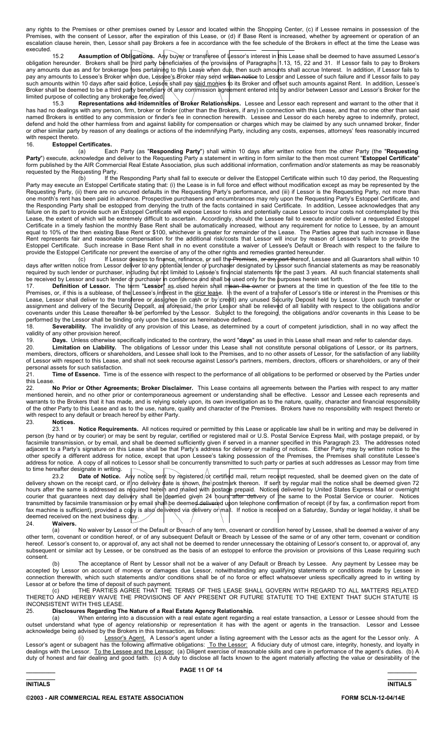any rights to the Premises or other premises owned by Lessor and located within the Shopping Center, (c) if Lessee remains in possession of the Premises, with the consent of Lessor, after the expiration of this Lease, or (d) if Base Rent is increased, whether by agreement or operation of an escalation clause herein, then, Lessor shall pay Brokers a fee in accordance with the fee schedule of the Brokers in effect at the time the Lease was executed.

15.2 **Assumption of Obligations.** Any buyer or transferee of Lessor's interest in this Lease shall be deemed to have assumed Lessor's obligation hereunder. Brokers shall be third party beneficiaries of the provisions of Paragraphs 1.13, 15, 22 and 31. If Lessor fails to pay to Brokers any amounts due as and for brokerage fees pertaining to this Lease when due, then such amounts shall accrue Interest. In addition, if Lessor fails to pay any amounts to Lessee's Broker when due, Lessee's Broker may send written notice to Lessor and Lessee of such failure and if Lessor fails to pay such amounts within 10 days after said hotice, Lessee shall pay said monies to its Broker and offset such amounts against Rent. In addition, Lessee's Broker shall be deemed to be a third party beneficiary of any commission agreement entered into by and/or between Lessor and Lessor's Broker for the limited purpose of collecting any brokerage fee owed

 15.3 **Representations and Indemnities of Broker Relationships.** Lessee and Lessor each represent and warrant to the other that it has had no dealings with any person, firm, broker or finder (other than the Brokers, if any) in connection with this Lease, and that no one other than said named Brokers is entitled to any commission or finder's fee in connection herewith. Lessee and Lessor do each hereby agree to indemnify, protect, defend and hold the other harmless from and against liability for compensation or charges which may be claimed by any such unnamed broker, finder or other similar party by reason of any dealings or actions of the indemnifying Party, including any costs, expenses, attorneys' fees reasonably incurred with respect thereto.<br>16 **Estoppel** 

#### 16. **Estoppel Certificates.**

 (a) Each Party (as "**Responding Party**") shall within 10 days after written notice from the other Party (the "**Requesting Party**") execute, acknowledge and deliver to the Requesting Party a statement in writing in form similar to the then most current "**Estoppel Certificate**" form published by the AIR Commercial Real Estate Association, plus such additional information, confirmation and/or statements as may be reasonably

requested by the Requesting Party.<br>(b) If the If the Responding Party shall fail to execute or deliver the Estoppel Certificate within such 10 day period, the Requesting Party may execute an Estoppel Certificate stating that: (i) the Lease is in full force and effect without modification except as may be represented by the Requesting Party, (ii) there are no uncured defaults in the Requesting Party's performance, and (iii) if Lessor is the Requesting Party, not more than one month's rent has been paid in advance. Prospective purchasers and encumbrances may rely upon the Requesting Party's Estoppel Certificate, and the Responding Party shall be estopped from denying the truth of the facts contained in said Certificate. In addition, Lessee acknowledges that any failure on its part to provide such an Estoppel Certificate will expose Lessor to risks and potentially cause Lessor to incur costs not contemplated by this Lease, the extent of which will be extremely difficult to ascertain. Accordingly, should the Lessee fail to execute and/or deliver a requested Estoppel Certificate in a timely fashion the monthly Base Rent shall be automatically increased, without any requirement for notice to Lessee, by an amount equal to 10% of the then existing Base Rent or \$100, whichever is greater for remainder of the Lease. The Parties agree that such increase in Base Rent represents fair and reasonable compensation for the additional risk/costs that Lessor will incur by reason of Lessee's failure to provide the Estoppel Certificate. Such increase in Base Rent shall in no event constitute a waiver of Lessee's Default or Breach with respect to the failure to provide the Estoppel Certificate nor prevent the exercise of any of the other rights and remedies granted hereunder.

(c) If Lessor desires to finance, refinance, or sell the Premises, or any part thereof, Lessee and all Guarantors shall within 10 days after written notice from Lessor deliver to any potential lender or purchaser designated by Lessor such financial statements as may be reasonably required by such lender or purchaser, including but not limited to Lessee's financial statements for the past 3 years. All such financial statements shall be received by Lessor and such lender or purchaser in confidence and shall be used only for the purposes herein set forth.

17. **Definition of Lessor.** The term "Lessor|" as used herein shall mean the owner or owners at the time in question of the fee title to the Premises, or, if this is a sublease, of the Lessee's interest in the prior lease. In the event of a transfer of Lessor's title or interest in the Premises or this Lease, Lessor shall deliver to the transferee or ássignee (in cash or by credit) any unused Security Deposit held by Lessor. Upon such transfer or assignment and delivery of the Security Deposit, as aforesaid, the prior Lessor shall be relieved of all liability with respect to the obligations and/or covenants under this Lease thereafter to be performed by the Lessor. Subject to the foregoing, the obligations and/or covenants in this Lease to be performed by the Lessor shall be binding only upon the Lessor as hereinabove defined.

18. **Severability.** The invalidity of any provision of this Lease, as determined by a court of competent jurisdiction, shall in no way affect the validity of any other provision hereof.

19. **Days.** Unless otherwise specifically indicated to the contrary, the word "**days**" as used in this Lease shall mean and refer to calendar days.

20. **Limitation on Liability.** The obligations of Lessor under this Lease shall not constitute personal obligations of Lessor, or its partners, members, directors, officers or shareholders, and Lessee shall look to the Premises, and to no other assets of Lessor, for the satisfaction of any liability of Lessor with respect to this Lease, and shall not seek recourse against Lessor's partners, members, directors, officers or shareholders, or any of their personal assets for such satisfaction.<br>21. Time of Essence. Time is

21. **Time of Essence.** Time is of the essence with respect to the performance of all obligations to be performed or observed by the Parties under this Lease.

22. **No Prior or Other Agreements; Broker Disclaimer.** This Lease contains all agreements between the Parties with respect to any matter mentioned herein, and no other prior or contemporaneous agreement or understanding shall be effective. Lessor and Lessee each represents and warrants to the Brokers that it has made, and is relying solely upon, its own investigation as to the nature, quality, character and financial responsibility of the other Party to this Lease and as to the use, nature, quality and character of the Premises. Brokers have no responsibility with respect thereto or with respect to any default or breach hereof by either Party.

23. **Notices.**

 23.1 **Notice Requirements.** All notices required or permitted by this Lease or applicable law shall be in writing and may be delivered in person (by hand or by courier) or may be sent by regular, certified or registered mail or U.S. Postal Service Express Mail, with postage prepaid, or by facsimile transmission, or by email, and shall be deemed sufficiently given if served in a manner specified in this Paragraph 23. The addresses noted adjacent to a Party's signature on this Lease shall be that Party's address for delivery or mailing of notices. Either Party may by written notice to the other specify a different address for notice, except that upon Lessee's taking possession of the Premises, the Premises shall constitute Lessee's address for notice. A copy of all notices to Lessor shall be concurrently transmitted to such party or parties at such addresses as Lessor may from time to time hereafter designate in writing.

23.2 **Date of Notice.** Any notice sent by registered/or certified mail, return recerpt requested, shall be deemed given on the date of delivery shown on the receipt card, or if|no delivèry date is shown, the\postmark thereon. If sent by regular mail the notice shall be deemed given 72 hours after the same is addressed as required herein and mailed with postage prepaid. Notices delivered by United States Express Mail or overnight courier that guarantees next day delivery shall be deemed given 24 hours after delivery of the same to the Postal Service or courier. Notices transmitted by facsimile transmission or by email shall be deemed delivered upon telephone confirmation of receipt (if by fax, a confirmation report from fax machine is sufficient), provided a copy is alsø delivèred via delivery or\mall. If notice is received on a Saturday, Sunday or legal holiday, it shall be deemed received on the next business day. 24. **Waivers.**

 (a) No waiver by Lessor of the Default or Breach of any term, covenant or condition hereof by Lessee, shall be deemed a waiver of any other term, covenant or condition hereof, or of any subsequent Default or Breach by Lessee of the same or of any other term, covenant or condition hereof. Lessor's consent to, or approval of, any act shall not be deemed to render unnecessary the obtaining of Lessor's consent to, or approval of, any subsequent or similar act by Lessee, or be construed as the basis of an estoppel to enforce the provision or provisions of this Lease requiring such consent.

 (b) The acceptance of Rent by Lessor shall not be a waiver of any Default or Breach by Lessee. Any payment by Lessee may be accepted by Lessor on account of moneys or damages due Lessor, notwithstanding any qualifying statements or conditions made by Lessee in connection therewith, which such statements and/or conditions shall be of no force or effect whatsoever unless specifically agreed to in writing by Lessor at or before the time of deposit of such payment.

 (c) THE PARTIES AGREE THAT THE TERMS OF THIS LEASE SHALL GOVERN WITH REGARD TO ALL MATTERS RELATED THERETO AND HEREBY WAIVE THE PROVISIONS OF ANY PRESENT OR FUTURE STATUTE TO THE EXTENT THAT SUCH STATUTE IS INCONSISTENT WITH THIS LEASE.

25. **Disclosures Regarding The Nature of a Real Estate Agency Relationship.**

 (a) When entering into a discussion with a real estate agent regarding a real estate transaction, a Lessor or Lessee should from the outset understand what type of agency relationship or representation it has with the agent or agents in the transaction. Lessor and Lessee acknowledge being advised by the Brokers in this transaction, as follows:

(i) Lessor's Agent. A Lessor's agent under a listing agreement with the Lessor acts as the agent for the Lessor only. A Lessor's agent or subagent has the following affirmative obligations: To the Lessor: A fiduciary duty of utmost care, integrity, honesty, and loyalty in dealings with the Lessor. To the Lessee and the Lessor: (a) Diligent exercise of reasonable skills and care in performance of the agent's duties. (b) A duty of honest and fair dealing and good faith. (c) A duty to disclose all facts known to the agent materially affecting the value or desirability of the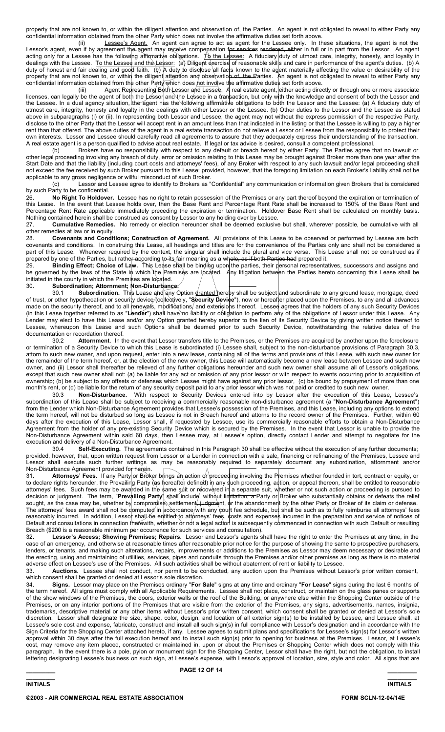property that are not known to, or within the diligent attention and observation of, the Parties. An agent is not obligated to reveal to either Party any confidential information obtained from the other Party which does not involve the affirmative duties set forth above.<br>(ii) Lessee's Agent. An agent can agree to act as agent for the Lessee only. In these situations, the ag

(ii) Lessee's Agent. An agent can agree to act as agent for the Lessee only. In these situations, the agent is not the Lessor's agent, even if by agreement the agent may receive compensation for services rendered, either in full or in part from the Lessor. An agent acting only for a Lessee has the following affirmative obligations. To the Lessee: A fiduciary duty of utmost care, integrity, honesty, and loyalty in dealings with the Lessee. To the Lessee and the Lessor: (a) Diligent exercise of reasonable skills and care in performance of the agent's duties. (b) A duty of honest and fair dealing and good faith. (c) A duty to disclose all facts known to the agent materially affecting the value or desirability of the property that are not known to, or within the diligent attention and observation of, the Parties. An agent is not obligated to reveal to either Party any confidential information obtained from the other Party which does not involve the affirmative duties set forth above.

(iii) Agent Representing Both Lessor and Lessee. A real estate agent, either acting directly or through one or more associate licenses, can legally be the agent of both the Lessor∣and∖the Lessee in a transaction, but only with the knowledge and consent of both the Lessor and the Lessee. In a dual agency situation, the agent has the following affirmative obligations to both the Lessor and the Lessee: (a) A fiduciary duty of utmost care, integrity, honesty and loyalty in the dealings with either Lessor or the Lessee. (b) Other duties to the Lessor and the Lessee as stated above in subparagraphs (i) or (ii). In representing both Lessor and Lessee, the agent may not without the express permission of the respective Party, disclose to the other Party that the Lessor will accept rent in an amount less than that indicated in the listing or that the Lessee is willing to pay a higher rent than that offered. The above duties of the agent in a real estate transaction do not relieve a Lessor or Lessee from the responsibility to protect their own interests. Lessor and Lessee should carefully read all agreements to assure that they adequately express their understanding of the transaction. A real estate agent is a person qualified to advise about real estate. If legal or tax advice is desired, consult a competent professional.

 (b) Brokers have no responsibility with respect to any default or breach hereof by either Party. The Parties agree that no lawsuit or other legal proceeding involving any breach of duty, error or omission relating to this Lease may be brought against Broker more than one year after the Start Date and that the liability (including court costs and attorneys' fees), of any Broker with respect to any such lawsuit and/or legal proceeding shall not exceed the fee received by such Broker pursuant to this Lease; provided, however, that the foregoing limitation on each Broker's liability shall not be applicable to any gross negligence or willful misconduct of such Broker.

 (c) Lessor and Lessee agree to identify to Brokers as "Confidential" any communication or information given Brokers that is considered by such Party to be confidential.

26. **No Right To Holdover.** Lessee has no right to retain possession of the Premises or any part thereof beyond the expiration or termination of this Lease. In the event that Lessee holds over, then the Base Rent and Percentage Rent Rate shall be increased to 150% of the Base Rent and Percentage Rent Rate applicable immediately preceding the expiration or termination. Holdover Base Rent shall be calculated on monthly basis. Nothing contained herein shall be construed as consent by Lessor to any holding over by Lessee.

27. Cumulative Remedies. No remedy or election hereunder shall be deemed exclusive but shall, wherever possible, be cumulative with all other remedies at law or in equity.

28. **Covenants and Conditions; Construction of Agreement.** All provisions of this Lease to be observed or performed by Lessee are both covenants and conditions. In construing this Lease, all headings and titles are for the convenience of the Parties only and shall not be considered a part of this Lease. Whenever required by the context, the singular shall include the plural and vice versa. This Lease shall not be construed as if prepared by one of the Parties, but rather according to its fair meaning as a whole, as if both Parties had prepared it.

29. **Binding Effect; Choice of Law.** This Lease shall be binding upon the parties, their personal representatives, successors and assigns and be governed by the laws of the State in which the Premises are located. Any litigation between the Parties hereto concerning this Lease shall be initiated in the county in which the Premises are located.

30. **Subordination; Attornment; Non-Disturbance.**

30.1 **Subordination.** This Lease and any Option granted hereby shall be subject and subordinate to any ground lease, mortgage, deed of trust, or other hypothecation or security device (collectively, "**Security Device**"), now or hereafter placed upon the Premises, to any and all advances made on the security thereof, and to all renewals, modifications/ and extensions thereof. Lessee agrees that the holders of any such Security Devices (in this Lease together referred to as "Lender") shall have`no liability or obligation to perform ahy of the obligations of Lessor under this Lease. Any Lender may elect to have this Lease and/or any Option granted hereby superior to the lien of its Security Device by giving written notice thereof to Lessee, whereupon this Lease and such Options shall be deemed prior to such Security Device, notwithstanding the relative dates of the documentation or recordation thereof.

 30.2 **Attornment**. In the event that Lessor transfers title to the Premises, or the Premises are acquired by another upon the foreclosure or termination of a Security Device to which this Lease is subordinated (i) Lessee shall, subject to the non-disturbance provisions of Paragraph 30.3, attorn to such new owner, and upon request, enter into a new lease, containing all of the terms and provisions of this Lease, with such new owner for the remainder of the term hereof, or, at the election of the new owner, this Lease will automatically become a new lease between Lessee and such new owner, and (ii) Lessor shall thereafter be relieved of any further obligations hereunder and such new owner shall assume all of Lessor's obligations, except that such new owner shall not: (a) be liable for any act or omission of any prior lessor or with respect to events occurring prior to acquisition of ownership; (b) be subject to any offsets or defenses which Lessee might have against any prior lessor, (c) be bound by prepayment of more than one month's rent, or (d) be liable for the return of any security deposit paid to any prior lessor which was not paid or credited to such new owner.

 30.3 **Non-Disturbance.** With respect to Security Devices entered into by Lessor after the execution of this Lease, Lessee's subordination of this Lease shall be subject to receiving a commercially reasonable non-disturbance agreement (a "**Non-Disturbance Agreement**") from the Lender which Non-Disturbance Agreement provides that Lessee's possession of the Premises, and this Lease, including any options to extend the term hereof, will not be disturbed so long as Lessee is not in Breach hereof and attorns to the record owner of the Premises. Further, within 60 days after the execution of this Lease, Lessor shall, if requested by Lessee, use its commercially reasonable efforts to obtain a Non-Disturbance Agreement from the holder of any pre-existing Security Device which is secured by the Premises. In the event that Lessor is unable to provide the Non-Disturbance Agreement within said 60 days, then Lessee may, at Lessee's option, directly contact Lender and attempt to negotiate for the execution and delivery of a Non-Disturbance Agreement.<br>30.4 **Self-Executing.** The agreements co

Self-Executing. The agreements contained in this Paragraph 30 shall be effective without the execution of any further documents; provided, however, that, upon written request from Lessor or a Lender in connection with a sale, financing or refinancing of the Premises, Lessee and Lessor shall execute such further writings as may be reasonably required to separately document any subordination, attornment and/or Non-Disturbance Agreement provided for herein.

31. **Attorneys' Fees.** If any Party or Broker brings an action or proceeding involving the Premises whether founded in tort, contract or equity, or to declare rights hereunder, the Prevailing Party (as hereafter defined) in any such proceeding, action, or appeal thereon, shall be entitled to reasonable attorneys' fees. Such fees may be awarded in the same suit or recovered in a separate suit, whether or not such action or proceeding is pursued to decision or judgment. The term, "**Prevailing Party**" shall include, without limitation, a Party or Broker who substantially obtains or defeats the relief sought, as the case may be, whether by compromise, settlement, judgment, or the abandonment by the other Party or Broker of its claim or defense. The attorneys' fees award shall not be domputed in accordance/with any coult fee schedule, but shall be such as to fully reimburse all attorneys' fees reasonably incurred. In addition, Lessor sha⊯⁄be entitled\to attorneys' fees, costs and expenses incurred in the preparation and service of notices of Default and consultations in connection <del>th</del>erewith, whether òr not a legal action is subsequently commenced in connection with such Default or resulting Breach (\$200 is a reasonable minimum per occurrence for such services and consultation).

32. **Lessor's Access; Showing Premises; Repairs.** Lessor and Lessor's agents shall have the right to enter the Premises at any time, in the case of an emergency, and otherwise at reasonable times after reasonable prior notice for the purpose of showing the same to prospective purchasers, lenders, or tenants, and making such alterations, repairs, improvements or additions to the Premises as Lessor may deem necessary or desirable and the erecting, using and maintaining of utilities, services, pipes and conduits through the Premises and/or other premises as long as there is no material adverse effect on Lessee's use of the Premises. All such activities shall be without abatement of rent or liability to Lessee.

33. **Auctions.** Lessee shall not conduct, nor permit to be conducted, any auction upon the Premises without Lessor's prior written consent, which consent shall be granted or denied at Lessor's sole discretion.

34. **Signs.** Lessor may place on the Premises ordinary "**For Sale**" signs at any time and ordinary "**For Lease**" signs during the last 6 months of the term hereof. All signs must comply with all Applicable Requirements. Lessee shall not place, construct, or maintain on the glass panes or supports of the show windows of the Premises, the doors, exterior walls or the roof of the Building, or anywhere else within the Shopping Center outside of the Premises, or on any interior portions of the Premises that are visible from the exterior of the Premises, any signs, advertisements, names, insignia, trademarks, descriptive material or any other items without Lessor's prior written consent, which consent shall be granted or denied at Lessor's sole discretion. Lessor shall designate the size, shape, color, design, and location of all exterior sign(s) to be installed by Lessee, and Lessee shall, at Lessee's sole cost and expense, fabricate, construct and install all such sign(s) in full compliance with Lessor's designation and in accordance with the Sign Criteria for the Shopping Center attached hereto, if any. Lessee agrees to submit plans and specifications for Lessee's sign(s) for Lessor's written approval within 30 days after the full execution hereof and to install such sign(s) prior to opening for business at the Premises. Lessor, at Lessee's cost, may remove any item placed, constructed or maintained in, upon or about the Premises or Shopping Center which does not comply with this paragraph. In the event there is a pole, pylon or monument sign for the Shopping Center, Lessor shall have the right, but not the obligation, to install lettering designating Lessee's business on such sign, at Lessee's expense, with Lessor's approval of location, size, style and color. All signs that are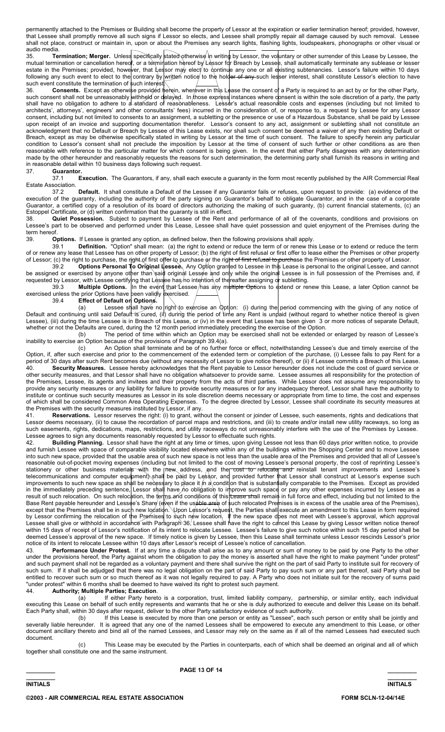permanently attached to the Premises or Building shall become the property of Lessor at the expiration or earlier termination hereof; provided, however, that Lessee shall promptly remove all such signs if Lessor so elects, and Lessee shall promptly repair all damage caused by such removal. Lessee shall not place, construct or maintain in, upon or about the Premises any search lights, flashing lights, loudspeakers, phonographs or other visual or audio media.

35. **Termination; Merger.** Unless specifically stated otherwise in writing by Lessor, the voluntary or other surrender of this Lease by Lessee, the mutual termination or cancellation hereof, or a termination hereof by Lessor for Breach by Lessee, shall automatically terminate any sublease or lesser estate in the Premises; provided, however, that Lessor may elect to dontinue any one or all existing subtenancies. Lessor's failure within 10 days following any such event to elect to the contrary by written notice to the holder of any such lesser interest, shall constitute Lessor's election to have such event constitute the termination of such inter $\operatorname{\mathsf{est}}\nolimits^\mathbbm{N}$ 

36. **Consents.** Except as otherwise provided herein, wherever in this Lease the consent of a Party is required to an act by or for the other Party, such consent shall not be unreasonably withheld or delayed. In those express instances where consent is within the sole discretion of a party, the party shall have no obligation to adhere to a–standard of reasònableness. Lessor's actual reasonable costs and expenses (including but not limited to architects', attorneys', engineers' and other consultants' fees) incurred in the consideration of, or response to, a request by Lessee for any Lessor consent, including but not limited to consents to an assignment, a subletting or the presence or use of a Hazardous Substance, shall be paid by Lessee upon receipt of an invoice and supporting documentation therefor. Lessor's consent to any act, assignment or subletting shall not constitute an acknowledgment that no Default or Breach by Lessee of this Lease exists, nor shall such consent be deemed a waiver of any then existing Default or Breach, except as may be otherwise specifically stated in writing by Lessor at the time of such consent. The failure to specify herein any particular condition to Lessor's consent shall not preclude the imposition by Lessor at the time of consent of such further or other conditions as are then reasonable with reference to the particular matter for which consent is being given. In the event that either Party disagrees with any determination made by the other hereunder and reasonably requests the reasons for such determination, the determining party shall furnish its reasons in writing and in reasonable detail within 10 business days following such request.

# 37. **Guarantor.**

Execution. The Guarantors, if any, shall each execute a guaranty in the form most recently published by the AIR Commercial Real Estate Association.

 37.2 **Default.** It shall constitute a Default of the Lessee if any Guarantor fails or refuses, upon request to provide: (a) evidence of the execution of the guaranty, including the authority of the party signing on Guarantor's behalf to obligate Guarantor, and in the case of a corporate Guarantor, a certified copy of a resolution of its board of directors authorizing the making of such guaranty, (b) current financial statements, (c) an Estoppel Certificate, or (d) written confirmation that the guaranty is still in effect.

38. **Quiet Possession.** Subject to payment by Lessee of the Rent and performance of all of the covenants, conditions and provisions on Lessee's part to be observed and performed under this Lease, Lessee shall have quiet possession and quiet enjoyment of the Premises during the term hereof.<br>39. **O** 

**Options.** If Lessee is granted any option, as defined below, then the following provisions shall apply.<br>39.1 **Definition.** "Option" shall mean: (a) the right to extend or reduce the term of or renew thi

Definition. "Option" shall mean: (a) the right to extend or reduce the term of or renew this Lease or to extend or reduce the term of or renew any lease that Lessee has on other property of Lessor; (b) the right of first refusal or first offer to lease either the Premises or other property of Lessor; (c) the right to purchase, the right of first offer to purchase or the right of first refusal to purchase the Premises or other property of Lessor.

 39.2 **Options Personal To Original Lessee.** Any Option granted to Lessee in this Lease is personal to the original Lessee, and cannot be assigned or exercised by anyone other than said original Lessee and only while the original Lessee is in full possession of the Premises and, if requested by Lessor, with Lessee certifying that Lessee has no intention of thereafter assigning or subletting.

 39.3 **Multiple Options.** In the event that Lessee has any multiple Options to extend or renew this Lease, a later Option cannot be exercised unless the prior Options have been validly exercised.

#### 39.4 **Effect of Default on Options.**

(a) Lessee shall have no right to exercise an Option: (i) during the period commencing with the giving of any notice of Default and continuing until said Default is cured, (ii) during the period of time any Rent is unpaid (without regard to whether notice thereof is given Lessee), (iii) during the time Lessee is in Breach of this Lease, or (iv) in the event that Lessee has been given 3 or more notices of separate Default, whether or not the Defaults are cured, during the 12 month period immediately preceding the exercise of the Option.

 (b) The period of time within which an Option may be exercised shall not be extended or enlarged by reason of Lessee's inability to exercise an Option because of the provisions of Paragraph 39.4(a).

 (c) An Option shall terminate and be of no further force or effect, notwithstanding Lessee's due and timely exercise of the Option, if, after such exercise and prior to the commencement of the extended term or completion of the purchase, (i) Lessee fails to pay Rent for a period of 30 days after such Rent becomes due (without any necessity of Lessor to give notice thereof), or (ii) if Lessee commits a Breach of this Lease.<br>40 **Security Measures.** Lessee hereby acknowledges that the Rent pay Security Measures. Lessee hereby acknowledges that the Rent payable to Lessor hereunder does not include the cost of guard service or other security measures, and that Lessor shall have no obligation whatsoever to provide same. Lessee assumes all responsibility for the protection of the Premises, Lessee, its agents and invitees and their property from the acts of third parties. While Lessor does not assume any responsibility to provide any security measures or any liability for failure to provide security measures or for any inadequacy thereof, Lessor shall have the authority to institute or continue such security measures as Lessor in its sole discretion deems necessary or appropriate from time to time, the cost and expenses of which shall be considered Common Area Operating Expenses. To the degree directed by Lessor, Lessee shall coordinate its security measures at the Premises with the security measures instituted by Lessor, if any.

41. **Reservations.** Lessor reserves the right: (i) to grant, without the consent or joinder of Lessee, such easements, rights and dedications that Lessor deems necessary, (ii) to cause the recordation of parcel maps and restrictions, and (iii) to create and/or install new utility raceways, so long as such easements, rights, dedications, maps, restrictions, and utility raceways do not unreasonably interfere with the use of the Premises by Lessee. Lessee agrees to sign any documents reasonably requested by Lessor to effectuate such rights.

42. **Building Planning.** Lessor shall have the right at any time or times, upon giving Lessee not less than 60 days prior written notice, to provide and furnish Lessee with space of comparable visibility located elsewhere within any of the buildings within the Shopping Center and to move Lessee into such new space, provided that the usable area of such new space is not less than the usable area of the Premises and provided that all of Lessee's reasonable out-of-pocket moving expenses (including but not limited to the cost of moving Lessee's personal property, the cost of reprinting Lessee's stationery or other business materials with the mew address, and the cost to relocate and reinstall tenant improvements and Lessee's telecommunications and computer equipment) shall be paid by Lessor, and provided further that Lessor shall construct at Lessor's expense such improvements to such new space as shall be necessary to place it in a condition that is substantially comparable to the Premises. Except as provided in the immediately preceding sentence, Lessor shall have no obligation to improve such space or pay any other expenses incurred by Lessee as a result of such relocation. On such relocation, the terms and conditions of this Lease shall remain in full force and effect, including but not limited to the Base Rent payable hereunder and Lessee's Share (even if the usable area of such relocated Premises is in excess of the usable area of the Premises), except that the Premises shall be in such new location. Upon Lessor's request, the Parties shall execute an amendment to this Lease in form required by Lessor confirming the relocation of the Premises to such new location. If the new space does not meet with Lessee's approval, which approval Lessee shall give or withhold in accorda<del>hce</del> with Paragraph 36, Lessee shall have the right to cancel this Lease by giving Lessor written notice thereof within 15 days of receipt of Lessor's notification of its intent to relocate Lessee. Lessee's failure to give such notice within such 15 day period shall be deemed Lessee's approval of the new space. If timely notice is given by Lessee, then this Lease shall terminate unless Lessor rescinds Lessor's prior notice of its intent to relocate Lessee within 10 days after Lessor's receipt of Lessee's notice of cancellation.

43. **Performance Under Protest.** If at any time a dispute shall arise as to any amount or sum of money to be paid by one Party to the other under the provisions hereof, the Party against whom the obligation to pay the money is asserted shall have the right to make payment "under protest" and such payment shall not be regarded as a voluntary payment and there shall survive the right on the part of said Party to institute suit for recovery of such sum. If it shall be adjudged that there was no legal obligation on the part of said Party to pay such sum or any part thereof, said Party shall be entitled to recover such sum or so much thereof as it was not legally required to pay. A Party who does not initiate suit for the recovery of sums paid "under protest" within 6 months shall be deemed to have waived its right to protest such payment.

### 44. **Authority; Multiple Parties; Execution**.

 (a) If either Party hereto is a corporation, trust, limited liability company, partnership, or similar entity, each individual executing this Lease on behalf of such entity represents and warrants that he or she is duly authorized to execute and deliver this Lease on its behalf. Each Party shall, within 30 days after request, deliver to the other Party satisfactory evidence of such authority.

 (b) If this Lease is executed by more than one person or entity as "Lessee", each such person or entity shall be jointly and severally liable hereunder. It is agreed that any one of the named Lessees shall be empowered to execute any amendment to this Lease, or other document ancillary thereto and bind all of the named Lessees, and Lessor may rely on the same as if all of the named Lessees had executed such document.

 (c) This Lease may be executed by the Parties in counterparts, each of which shall be deemed an original and all of which together shall constitute one and the same instrument.